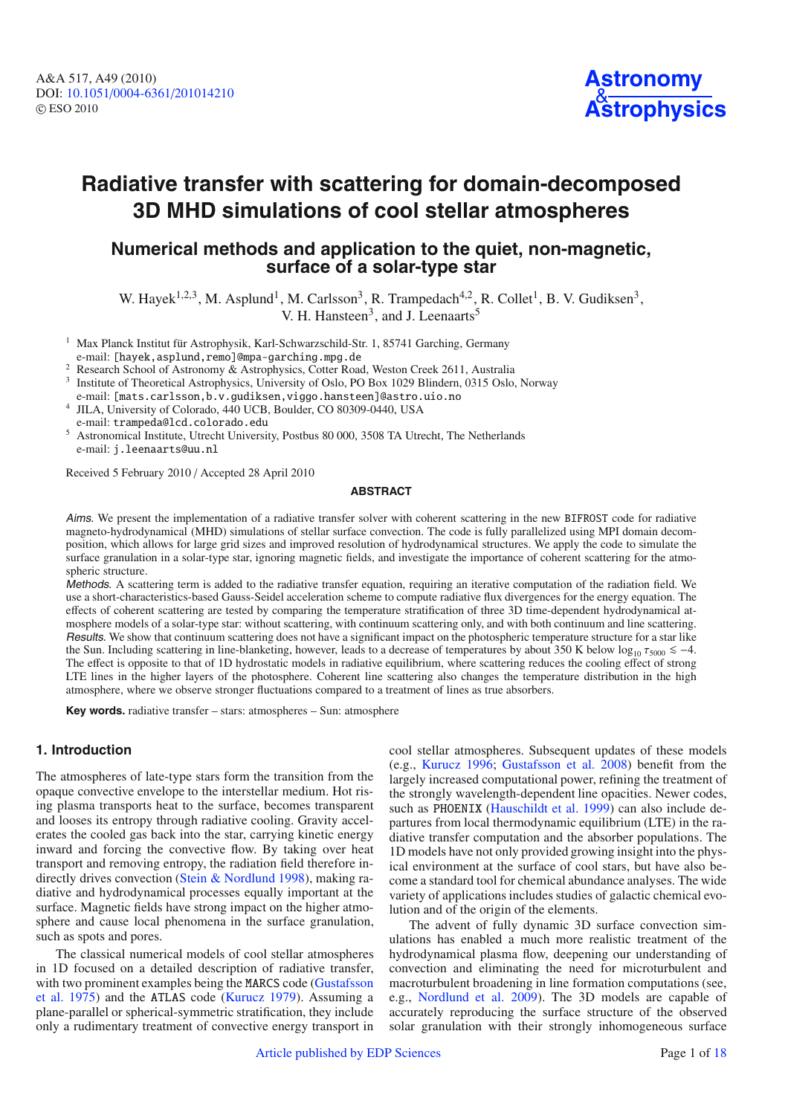

# **Radiative transfer with scattering for domain-decomposed 3D MHD simulations of cool stellar atmospheres**

# **Numerical methods and application to the quiet, non-magnetic, surface of a solar-type star**

W. Hayek<sup>1,2,3</sup>, M. Asplund<sup>1</sup>, M. Carlsson<sup>3</sup>, R. Trampedach<sup>4,2</sup>, R. Collet<sup>1</sup>, B. V. Gudiksen<sup>3</sup>, V. H. Hansteen<sup>3</sup>, and J. Leenaarts<sup>5</sup>

<sup>1</sup> Max Planck Institut für Astrophysik, Karl-Schwarzschild-Str. 1, 85741 Garching, Germany

e-mail: [hayek,asplund,remo]@mpa-garching.mpg.de

<sup>2</sup> Research School of Astronomy & Astrophysics, Cotter Road, Weston Creek 2611, Australia

<sup>3</sup> Institute of Theoretical Astrophysics, University of Oslo, PO Box 1029 Blindern, 0315 Oslo, Norway

e-mail: [mats.carlsson,b.v.gudiksen,viggo.hansteen]@astro.uio.no

<sup>4</sup> JILA, University of Colorado, 440 UCB, Boulder, CO 80309-0440, USA e-mail: trampeda@lcd.colorado.edu

<sup>5</sup> Astronomical Institute, Utrecht University, Postbus 80 000, 3508 TA Utrecht, The Netherlands e-mail: j.leenaarts@uu.nl

Received 5 February 2010 / Accepted 28 April 2010

## **ABSTRACT**

Aims. We present the implementation of a radiative transfer solver with coherent scattering in the new BIFROST code for radiative magneto-hydrodynamical (MHD) simulations of stellar surface convection. The code is fully parallelized using MPI domain decomposition, which allows for large grid sizes and improved resolution of hydrodynamical structures. We apply the code to simulate the surface granulation in a solar-type star, ignoring magnetic fields, and investigate the importance of coherent scattering for the atmospheric structure.

Methods. A scattering term is added to the radiative transfer equation, requiring an iterative computation of the radiation field. We use a short-characteristics-based Gauss-Seidel acceleration scheme to compute radiative flux divergences for the energy equation. The effects of coherent scattering are tested by comparing the temperature stratification of three 3D time-dependent hydrodynamical atmosphere models of a solar-type star: without scattering, with continuum scattering only, and with both continuum and line scattering. Results. We show that continuum scattering does not have a significant impact on the photospheric temperature structure for a star like the Sun. Including scattering in line-blanketing, however, leads to a decrease of temperatures by about 350 K below  $\log_{10} \tau_{5000} \leq -4$ . The effect is opposite to that of 1D hydrostatic models in radiative equilibrium, where scattering reduces the cooling effect of strong LTE lines in the higher layers of the photosphere. Coherent line scattering also changes the temperature distribution in the high atmosphere, where we observe stronger fluctuations compared to a treatment of lines as true absorbers.

**Key words.** radiative transfer – stars: atmospheres – Sun: atmosphere

# **1. Introduction**

The atmospheres of late-type stars form the transition from the opaque convective envelope to the interstellar medium. Hot rising plasma transports heat to the surface, becomes transparent and looses its entropy through radiative cooling. Gravity accelerates the cooled gas back into the star, carrying kinetic energy inward and forcing the convective flow. By taking over heat transport and removing entropy, the radiation field therefore indirectly drives convection [\(Stein & Nordlund 1998](#page-17-0)), making radiative and hydrodynamical processes equally important at the surface. Magnetic fields have strong impact on the higher atmosphere and cause local phenomena in the surface granulation, such as spots and pores.

The classical numerical models of cool stellar atmospheres in 1D focused on a detailed description of radiative transfer, with [two](#page-16-0) [prominent](#page-16-0) [examples](#page-16-0) [being](#page-16-0) [the](#page-16-0) MARCS code (Gustafsson et al. [1975](#page-16-0)) and the ATLAS code [\(Kurucz 1979\)](#page-16-1). Assuming a plane-parallel or spherical-symmetric stratification, they include only a rudimentary treatment of convective energy transport in

cool stellar atmospheres. Subsequent updates of these models (e.g., [Kurucz 1996](#page-16-2); [Gustafsson et al. 2008\)](#page-16-3) benefit from the largely increased computational power, refining the treatment of the strongly wavelength-dependent line opacities. Newer codes, such as PHOENIX [\(Hauschildt et al. 1999](#page-16-4)) can also include departures from local thermodynamic equilibrium (LTE) in the radiative transfer computation and the absorber populations. The 1D models have not only provided growing insight into the physical environment at the surface of cool stars, but have also become a standard tool for chemical abundance analyses. The wide variety of applications includes studies of galactic chemical evolution and of the origin of the elements.

The advent of fully dynamic 3D surface convection simulations has enabled a much more realistic treatment of the hydrodynamical plasma flow, deepening our understanding of convection and eliminating the need for microturbulent and macroturbulent broadening in line formation computations (see, e.g., [Nordlund et al. 2009\)](#page-17-1). The 3D models are capable of accurately reproducing the surface structure of the observed solar granulation with their strongly inhomogeneous surface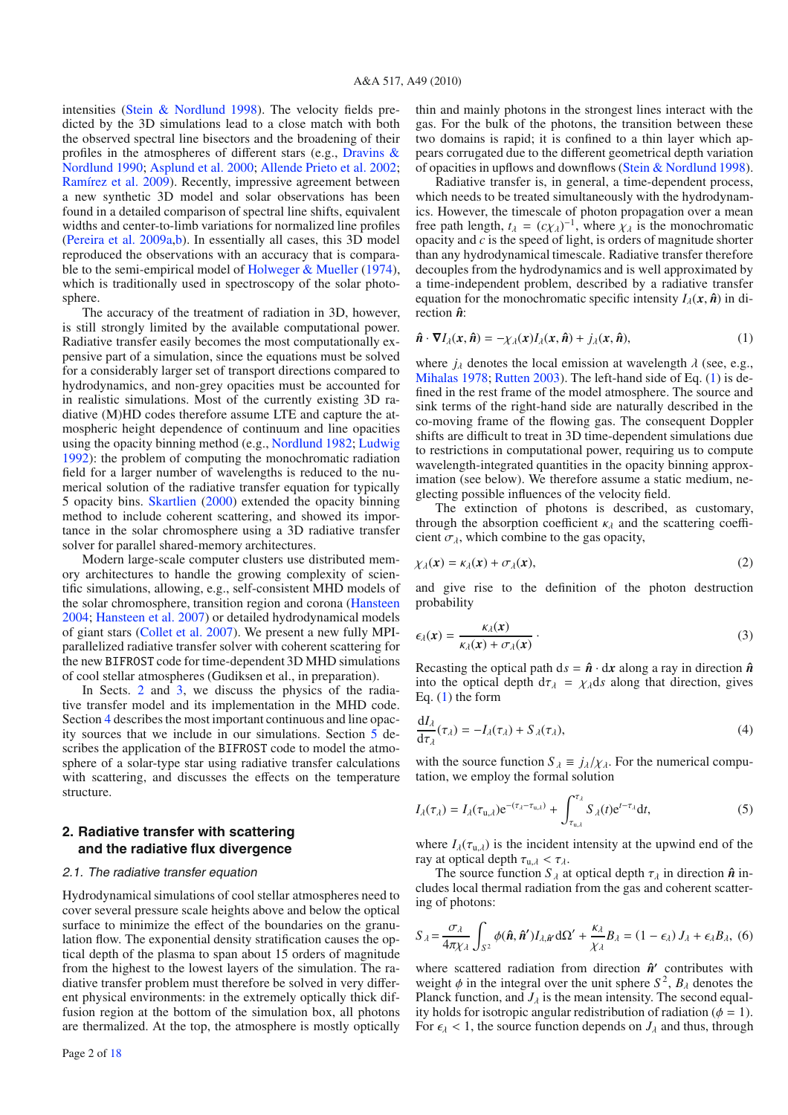intensities [\(Stein & Nordlund 1998](#page-17-0)). The velocity fields predicted by the 3D simulations lead to a close match with both the observed spectral line bisectors and the broadening of their profiles i[n the atmospheres of di](#page-16-5)fferent stars (e.g., Dravins & Nordlund [1990](#page-16-5); [Asplund et al. 2000;](#page-16-6) [Allende Prieto et al. 2002](#page-16-7); [Ramírez et al. 2009](#page-17-3)). Recently, impressive agreement between a new synthetic 3D model and solar observations has been found in a detailed comparison of spectral line shifts, equivalent widths and center-to-limb variations for normalized line profiles [\(Pereira et al. 2009a](#page-17-4)[,b\)](#page-17-5). In essentially all cases, this 3D model reproduced the observations with an accuracy that is compara-ble to the semi-empirical model of [Holweger & Mueller](#page-16-8) [\(1974](#page-16-8)), which is traditionally used in spectroscopy of the solar photosphere.

The accuracy of the treatment of radiation in 3D, however, is still strongly limited by the available computational power. Radiative transfer easily becomes the most computationally expensive part of a simulation, since the equations must be solved for a considerably larger set of transport directions compared to hydrodynamics, and non-grey opacities must be accounted for in realistic simulations. Most of the currently existing 3D radiative (M)HD codes therefore assume LTE and capture the atmospheric height dependence of continuum and line opacities using the opacity binning method (e.g., [Nordlund 1982;](#page-17-6) [Ludwig](#page-16-9) [1992](#page-16-9)): the problem of computing the monochromatic radiation field for a larger number of wavelengths is reduced to the numerical solution of the radiative transfer equation for typically 5 opacity bins. [Skartlien](#page-17-7) [\(2000\)](#page-17-7) extended the opacity binning method to include coherent scattering, and showed its importance in the solar chromosphere using a 3D radiative transfer solver for parallel shared-memory architectures.

Modern large-scale computer clusters use distributed memory architectures to handle the growing complexity of scientific simulations, allowing, e.g., self-consistent MHD models of the solar chromosphere, transition region and corona [\(Hansteen](#page-16-10) [2004](#page-16-10); [Hansteen et al. 2007\)](#page-16-11) or detailed hydrodynamical models of giant stars [\(Collet et al. 2007](#page-16-12)). We present a new fully MPIparallelized radiative transfer solver with coherent scattering for the new BIFROST code for time-dependent 3D MHD simulations of cool stellar atmospheres (Gudiksen et al., in preparation).

In Sects. [2](#page-1-0) and [3,](#page-3-0) we discuss the physics of the radiative transfer model and its implementation in the MHD code. Section [4](#page-8-0) describes the most important continuous and line opacity sources that we include in our simulations. Section [5](#page-9-0) describes the application of the BIFROST code to model the atmosphere of a solar-type star using radiative transfer calculations with scattering, and discusses the effects on the temperature structure.

# <span id="page-1-0"></span>**2. Radiative transfer with scattering and the radiative flux divergence**

#### <span id="page-1-5"></span>2.1. The radiative transfer equation

Hydrodynamical simulations of cool stellar atmospheres need to cover several pressure scale heights above and below the optical surface to minimize the effect of the boundaries on the granulation flow. The exponential density stratification causes the optical depth of the plasma to span about 15 orders of magnitude from the highest to the lowest layers of the simulation. The radiative transfer problem must therefore be solved in very different physical environments: in the extremely optically thick diffusion region at the bottom of the simulation box, all photons are thermalized. At the top, the atmosphere is mostly optically

<span id="page-1-1"></span>thin and mainly photons in the strongest lines interact with the gas. For the bulk of the photons, the transition between these two domains is rapid; it is confined to a thin layer which appears corrugated due to the different geometrical depth variation of opacities in upflows and downflows [\(Stein & Nordlund 1998](#page-17-0)).

Radiative transfer is, in general, a time-dependent process, which needs to be treated simultaneously with the hydrodynamics. However, the timescale of photon propagation over a mean free path length,  $t_{\lambda} = (c\chi_{\lambda})^{-1}$ , where  $\chi_{\lambda}$  is the monochromatic opacity and *c* is the speed of light, is orders of magnitude shorter than any hydrodynamical timescale. Radiative transfer therefore decouples from the hydrodynamics and is well approximated by a time-independent problem, described by a radiative transfer equation for the monochromatic specific intensity  $I_\lambda(x, \hat{\boldsymbol{n}})$  in direction *n***ˆ**:

$$
\hat{\boldsymbol{n}} \cdot \boldsymbol{\nabla} I_{\lambda}(\boldsymbol{x}, \hat{\boldsymbol{n}}) = -\chi_{\lambda}(\boldsymbol{x}) I_{\lambda}(\boldsymbol{x}, \hat{\boldsymbol{n}}) + j_{\lambda}(\boldsymbol{x}, \hat{\boldsymbol{n}}), \tag{1}
$$

where  $j_{\lambda}$  denotes the local emission at wavelength  $\lambda$  (see, e.g., [Mihalas 1978;](#page-16-13) [Rutten 2003\)](#page-17-8). The left-hand side of Eq. [\(1\)](#page-1-1) is defined in the rest frame of the model atmosphere. The source and sink terms of the right-hand side are naturally described in the co-moving frame of the flowing gas. The consequent Doppler shifts are difficult to treat in 3D time-dependent simulations due to restrictions in computational power, requiring us to compute wavelength-integrated quantities in the opacity binning approximation (see below). We therefore assume a static medium, neglecting possible influences of the velocity field.

<span id="page-1-2"></span>The extinction of photons is described, as customary, through the absorption coefficient  $\kappa_{\lambda}$  and the scattering coefficient  $\sigma_{\lambda}$ , which combine to the gas opacity,

$$
\chi_{\lambda}(\mathbf{x}) = \kappa_{\lambda}(\mathbf{x}) + \sigma_{\lambda}(\mathbf{x}), \tag{2}
$$

and give rise to the definition of the photon destruction probability

<span id="page-1-4"></span>
$$
\epsilon_{\lambda}(\mathbf{x}) = \frac{\kappa_{\lambda}(\mathbf{x})}{\kappa_{\lambda}(\mathbf{x}) + \sigma_{\lambda}(\mathbf{x})} \,. \tag{3}
$$

Recasting the optical path  $ds = \hat{\boldsymbol{n}} \cdot dx$  along a ray in direction  $\hat{\boldsymbol{n}}$ into the optical depth  $d\tau_{\lambda} = \chi_{\lambda} ds$  along that direction, gives Eq. [\(1\)](#page-1-1) the form

$$
\frac{dI_{\lambda}}{d\tau_{\lambda}}(\tau_{\lambda}) = -I_{\lambda}(\tau_{\lambda}) + S_{\lambda}(\tau_{\lambda}),
$$
\n(4)

<span id="page-1-3"></span>with the source function  $S_{\lambda} = j_{\lambda}/\chi_{\lambda}$ . For the numerical computation, we employ the formal solution

$$
I_{\lambda}(\tau_{\lambda}) = I_{\lambda}(\tau_{\mathbf{u},\lambda})e^{-(\tau_{\lambda}-\tau_{\mathbf{u},\lambda})} + \int_{\tau_{\mathbf{u},\lambda}}^{\tau_{\lambda}} S_{\lambda}(t)e^{t-\tau_{\lambda}}dt,
$$
\n(5)

where  $I_{\lambda}(\tau_{u,\lambda})$  is the incident intensity at the upwind end of the ray at optical depth  $\tau_{u,\lambda} < \tau_{\lambda}$ .

The source function  $S_{\lambda}$  at optical depth  $\tau_{\lambda}$  in direction  $\hat{\boldsymbol{n}}$  includes local thermal radiation from the gas and coherent scattering of photons:

$$
S_{\lambda} = \frac{\sigma_{\lambda}}{4\pi\chi_{\lambda}} \int_{S^2} \phi(\hat{\boldsymbol{n}}, \hat{\boldsymbol{n}}') I_{\lambda, \hat{\boldsymbol{n}}'} d\Omega' + \frac{\kappa_{\lambda}}{\chi_{\lambda}} B_{\lambda} = (1 - \epsilon_{\lambda}) J_{\lambda} + \epsilon_{\lambda} B_{\lambda}, \quad (6)
$$

where scattered radiation from direction  $\hat{n}'$  contributes with weight  $\phi$  in the integral over the unit sphere  $S^2$ ,  $B_\lambda$  denotes the Planck function, and  $J_{\lambda}$  is the mean intensity. The second equality holds for isotropic angular redistribution of radiation ( $\phi = 1$ ). For  $\epsilon_{\lambda}$  < 1, the source function depends on  $J_{\lambda}$  and thus, through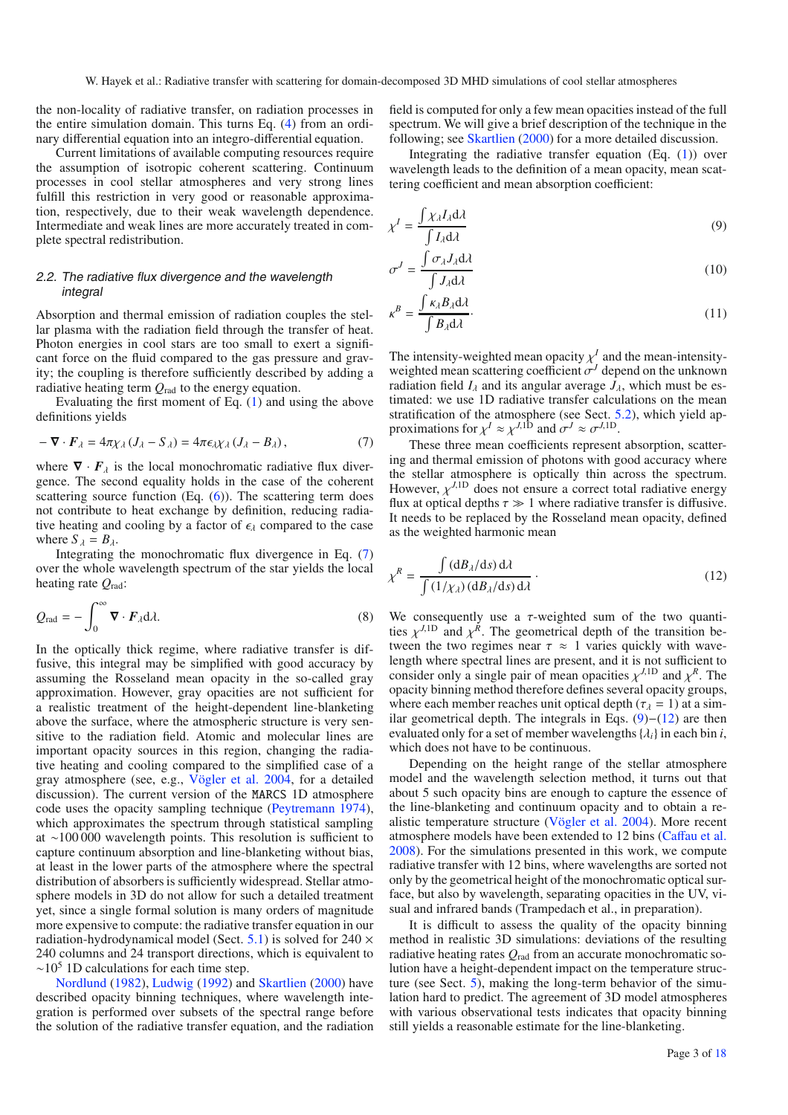the non-locality of radiative transfer, on radiation processes in the entire simulation domain. This turns Eq. [\(4\)](#page-1-2) from an ordinary differential equation into an integro-differential equation.

Current limitations of available computing resources require the assumption of isotropic coherent scattering. Continuum processes in cool stellar atmospheres and very strong lines fulfill this restriction in very good or reasonable approximation, respectively, due to their weak wavelength dependence. Intermediate and weak lines are more accurately treated in complete spectral redistribution.

## <span id="page-2-0"></span>2.2. The radiative flux divergence and the wavelength integral

Absorption and thermal emission of radiation couples the stellar plasma with the radiation field through the transfer of heat. Photon energies in cool stars are too small to exert a significant force on the fluid compared to the gas pressure and gravity; the coupling is therefore sufficiently described by adding a radiative heating term *Q*rad to the energy equation.

<span id="page-2-3"></span>Evaluating the first moment of Eq. [\(1\)](#page-1-1) and using the above definitions yields

$$
-\nabla \cdot \boldsymbol{F}_{\lambda} = 4\pi \chi_{\lambda} \left( \boldsymbol{J}_{\lambda} - \boldsymbol{S}_{\lambda} \right) = 4\pi \epsilon_{\lambda} \chi_{\lambda} \left( \boldsymbol{J}_{\lambda} - \boldsymbol{B}_{\lambda} \right), \tag{7}
$$

where  $\nabla \cdot \mathbf{F}_{\lambda}$  is the local monochromatic radiative flux divergence. The second equality holds in the case of the coherent scattering source function  $(Eq. (6))$  $(Eq. (6))$  $(Eq. (6))$ . The scattering term does not contribute to heat exchange by definition, reducing radiative heating and cooling by a factor of  $\epsilon_{\lambda}$  compared to the case where  $S_{\lambda} = B_{\lambda}$ .

Integrating the monochromatic flux divergence in Eq. [\(7\)](#page-2-0) over the whole wavelength spectrum of the star yields the local heating rate *Q*rad:

$$
Q_{\rm rad} = -\int_0^\infty \mathbf{\nabla} \cdot \mathbf{F}_{\lambda} d\lambda. \tag{8}
$$

In the optically thick regime, where radiative transfer is diffusive, this integral may be simplified with good accuracy by assuming the Rosseland mean opacity in the so-called gray approximation. However, gray opacities are not sufficient for a realistic treatment of the height-dependent line-blanketing above the surface, where the atmospheric structure is very sensitive to the radiation field. Atomic and molecular lines are important opacity sources in this region, changing the radiative heating and cooling compared to the simplified case of a gray atmosphere (see, e.g., [Vögler et al. 2004,](#page-17-9) for a detailed discussion). The current version of the MARCS 1D atmosphere code uses the opacity sampling technique [\(Peytremann 1974](#page-17-10)), which approximates the spectrum through statistical sampling at ∼100 000 wavelength points. This resolution is sufficient to capture continuum absorption and line-blanketing without bias, at least in the lower parts of the atmosphere where the spectral distribution of absorbers is sufficiently widespread. Stellar atmosphere models in 3D do not allow for such a detailed treatment yet, since a single formal solution is many orders of magnitude more expensive to compute: the radiative transfer equation in our radiation-hydrodynamical model (Sect. [5.1\)](#page-9-1) is solved for  $240 \times$ 240 columns and 24 transport directions, which is equivalent to  $\sim$ 10<sup>5</sup> 1D calculations for each time step.

[Nordlund](#page-17-6) [\(1982\)](#page-17-6), [Ludwig](#page-16-9) [\(1992](#page-16-9)) and [Skartlien](#page-17-7) [\(2000\)](#page-17-7) have described opacity binning techniques, where wavelength integration is performed over subsets of the spectral range before the solution of the radiative transfer equation, and the radiation field is computed for only a few mean opacities instead of the full spectrum. We will give a brief description of the technique in the following; see [Skartlien](#page-17-7) [\(2000\)](#page-17-7) for a more detailed discussion.

Integrating the radiative transfer equation (Eq. [\(1\)](#page-1-1)) over wavelength leads to the definition of a mean opacity, mean scattering coefficient and mean absorption coefficient:

<span id="page-2-1"></span>
$$
\chi^{I} = \frac{\int \chi_{\lambda} I_{\lambda} \mathrm{d}\lambda}{\int I_{\lambda} \mathrm{d}\lambda} \tag{9}
$$

$$
\sigma^{J} = \frac{\int \sigma_{\lambda} J_{\lambda} d\lambda}{\int J_{\lambda} d\lambda}
$$
\n(10)

$$
\kappa^B = \frac{\int \kappa_\lambda B_\lambda \mathrm{d}\lambda}{\int B_\lambda \mathrm{d}\lambda}.
$$
\n(11)

<span id="page-2-2"></span>The intensity-weighted mean opacity  $\chi^I$  and the mean-intensityweighted mean scattering coefficient σ*<sup>J</sup>* depend on the unknown radiation field  $I_\lambda$  and its angular average  $J_\lambda$ , which must be estimated: we use 1D radiative transfer calculations on the mean stratification of the atmosphere (see Sect. [5.2\)](#page-10-0), which yield approximations for  $\chi^I \approx \chi^{J,1D}$  and  $\sigma^J \approx \sigma^{J,1D}$ .

These three mean coefficients represent absorption, scattering and thermal emission of photons with good accuracy where the stellar atmosphere is optically thin across the spectrum. However,  $\chi^{J,1D}$  does not ensure a correct total radiative energy flux at optical depths  $\tau \gg 1$  where radiative transfer is diffusive. It needs to be replaced by the Rosseland mean opacity, defined as the weighted harmonic mean

$$
\chi^R = \frac{\int (dB_\lambda/ds) d\lambda}{\int (1/\chi_\lambda) (dB_\lambda/ds) d\lambda}.
$$
 (12)

We consequently use a  $\tau$ -weighted sum of the two quantities  $\chi^{J,1D}$  and  $\chi^R$ . The geometrical depth of the transition between the two regimes near  $\tau \approx 1$  varies quickly with wavelength where spectral lines are present, and it is not sufficient to consider only a single pair of mean opacities  $\chi^{J,1D}$  and  $\chi^R$ . The opacity binning method therefore defines several opacity groups, where each member reaches unit optical depth ( $\tau_{\lambda} = 1$ ) at a similar geometrical depth. The integrals in Eqs.  $(9)$ − $(12)$  are then evaluated only for a set of member wavelengths  $\{\lambda_i\}$  in each bin *i*, which does not have to be continuous.

Depending on the height range of the stellar atmosphere model and the wavelength selection method, it turns out that about 5 such opacity bins are enough to capture the essence of the line-blanketing and continuum opacity and to obtain a realistic temperature structure [\(Vögler et al. 2004\)](#page-17-9). More recent atmosphere models have been extended to 12 bins (Caff[au et al.](#page-16-14) [2008](#page-16-14)). For the simulations presented in this work, we compute radiative transfer with 12 bins, where wavelengths are sorted not only by the geometrical height of the monochromatic optical surface, but also by wavelength, separating opacities in the UV, visual and infrared bands (Trampedach et al., in preparation).

It is difficult to assess the quality of the opacity binning method in realistic 3D simulations: deviations of the resulting radiative heating rates *Q*rad from an accurate monochromatic solution have a height-dependent impact on the temperature structure (see Sect. [5\)](#page-9-0), making the long-term behavior of the simulation hard to predict. The agreement of 3D model atmospheres with various observational tests indicates that opacity binning still yields a reasonable estimate for the line-blanketing.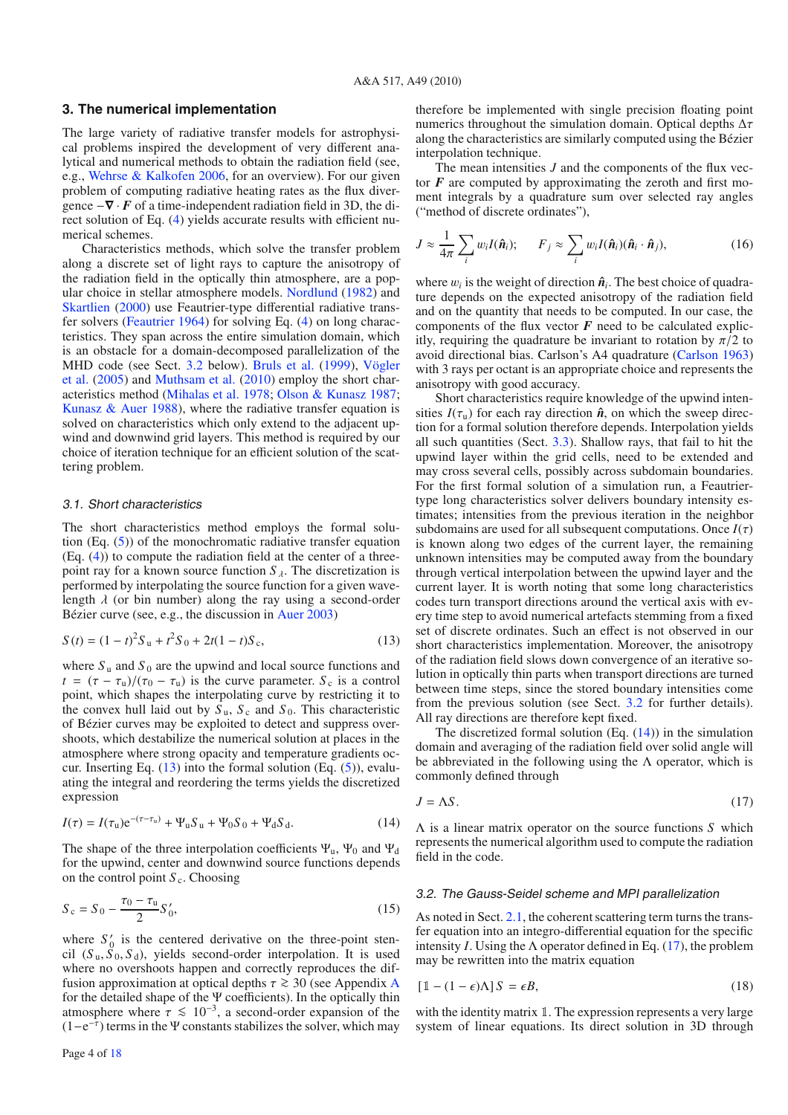# <span id="page-3-0"></span>**3. The numerical implementation**

The large variety of radiative transfer models for astrophysical problems inspired the development of very different analytical and numerical methods to obtain the radiation field (see, e.g., [Wehrse & Kalkofen 2006](#page-17-11), for an overview). For our given problem of computing radiative heating rates as the flux divergence  $-\nabla \cdot \vec{F}$  of a time-independent radiation field in 3D, the direct solution of Eq. [\(4\)](#page-1-2) yields accurate results with efficient numerical schemes.

Characteristics methods, which solve the transfer problem along a discrete set of light rays to capture the anisotropy of the radiation field in the optically thin atmosphere, are a popular choice in stellar atmosphere models. [Nordlund](#page-17-6) [\(1982](#page-17-6)) and [Skartlien](#page-17-7) [\(2000](#page-17-7)) use Feautrier-type differential radiative transfer solvers [\(Feautrier 1964\)](#page-16-15) for solving Eq. [\(4\)](#page-1-2) on long characteristics. They span across the entire simulation domain, which is an obstacle for a domain-decomposed parallelization of the MH[D code \(see Sect.](#page-17-12) [3.2](#page-3-1) below). [Bruls et al.](#page-16-16) [\(1999\)](#page-16-16), Vögler et al. [\(2005\)](#page-17-12) and [Muthsam et al.](#page-17-13) [\(2010](#page-17-13)) employ the short characteristics method [\(Mihalas et al. 1978;](#page-16-17) [Olson & Kunasz 1987](#page-17-14); Kunasz  $\&$  Auer 1988), where the radiative transfer equation is solved on characteristics which only extend to the adjacent upwind and downwind grid layers. This method is required by our choice of iteration technique for an efficient solution of the scattering problem.

#### <span id="page-3-5"></span><span id="page-3-2"></span>3.1. Short characteristics

The short characteristics method employs the formal solution (Eq. [\(5\)](#page-1-4)) of the monochromatic radiative transfer equation (Eq. [\(4\)](#page-1-2)) to compute the radiation field at the center of a threepoint ray for a known source function  $S_{\lambda}$ . The discretization is performed by interpolating the source function for a given wavelength  $\lambda$  (or bin number) along the ray using a second-order Bézier curve (see, e.g., the discussion in [Auer 2003\)](#page-16-19)

<span id="page-3-3"></span>
$$
S(t) = (1 - t)^2 S_u + t^2 S_0 + 2t(1 - t)S_c,
$$
\n(13)

where  $S_u$  and  $S_0$  are the upwind and local source functions and  $t = (\tau - \tau_u)/(\tau_0 - \tau_u)$  is the curve parameter. *S*<sub>c</sub> is a control point, which shapes the interpolating curve by restricting it to the convex hull laid out by  $S_u$ ,  $S_c$  and  $S_0$ . This characteristic of Bézier curves may be exploited to detect and suppress overshoots, which destabilize the numerical solution at places in the atmosphere where strong opacity and temperature gradients occur. Inserting Eq.  $(13)$  into the formal solution (Eq.  $(5)$ ), evaluating the integral and reordering the terms yields the discretized expression

$$
I(\tau) = I(\tau_{\rm u})e^{-(\tau - \tau_{\rm u})} + \Psi_{\rm u} S_{\rm u} + \Psi_0 S_0 + \Psi_{\rm d} S_{\rm d}.
$$
 (14)

The shape of the three interpolation coefficients  $\Psi_u$ ,  $\Psi_0$  and  $\Psi_d$ for the upwind, center and downwind source functions depends on the control point  $S_c$ . Choosing

$$
S_c = S_0 - \frac{\tau_0 - \tau_u}{2} S'_0,\tag{15}
$$

where  $S'_0$  is the centered derivative on the three-point stencil  $(S_u, \tilde{S}_0, S_d)$ , yields second-order interpolation. It is used where no overshoots happen and correctly reproduces the diffusion approximation at optical depths  $\tau \geq 30$  (see [A](#page-14-0)ppendix A for the detailed shape of the  $\Psi$  coefficients). In the optically thin atmosphere where  $\tau \le 10^{-3}$ , a second-order expansion of the  $(1-e^{-\tau})$  terms in the Ψ constants stabilizes the solver, which may

therefore be implemented with single precision floating point numerics throughout the simulation domain. Optical depths  $\Delta \tau$ along the characteristics are similarly computed using the Bézier interpolation technique.

The mean intensities *J* and the components of the flux vector  $\vec{F}$  are computed by approximating the zeroth and first moment integrals by a quadrature sum over selected ray angles ("method of discrete ordinates"),

$$
J \approx \frac{1}{4\pi} \sum_{i} w_{i} I(\hat{\boldsymbol{n}}_{i}); \qquad F_{j} \approx \sum_{i} w_{i} I(\hat{\boldsymbol{n}}_{i}) (\hat{\boldsymbol{n}}_{i} \cdot \hat{\boldsymbol{n}}_{j}), \qquad (16)
$$

where  $w_i$  is the weight of direction  $\hat{\boldsymbol{n}}_i$ . The best choice of quadrature depends on the expected anisotropy of the radiation field and on the quantity that needs to be computed. In our case, the components of the flux vector  $F$  need to be calculated explicitly, requiring the quadrature be invariant to rotation by  $\pi/2$  to avoid directional bias. Carlson's A4 quadrature [\(Carlson 1963\)](#page-16-20) with 3 rays per octant is an appropriate choice and represents the anisotropy with good accuracy.

Short characteristics require knowledge of the upwind intensities  $I(\tau_{\rm u})$  for each ray direction  $\hat{\boldsymbol{n}}$ , on which the sweep direction for a formal solution therefore depends. Interpolation yields all such quantities (Sect. [3.3\)](#page-6-0). Shallow rays, that fail to hit the upwind layer within the grid cells, need to be extended and may cross several cells, possibly across subdomain boundaries. For the first formal solution of a simulation run, a Feautriertype long characteristics solver delivers boundary intensity estimates; intensities from the previous iteration in the neighbor subdomains are used for all subsequent computations. Once  $I(\tau)$ is known along two edges of the current layer, the remaining unknown intensities may be computed away from the boundary through vertical interpolation between the upwind layer and the current layer. It is worth noting that some long characteristics codes turn transport directions around the vertical axis with every time step to avoid numerical artefacts stemming from a fixed set of discrete ordinates. Such an effect is not observed in our short characteristics implementation. Moreover, the anisotropy of the radiation field slows down convergence of an iterative solution in optically thin parts when transport directions are turned between time steps, since the stored boundary intensities come from the previous solution (see Sect. [3.2](#page-3-1) for further details). All ray directions are therefore kept fixed.

<span id="page-3-4"></span>The discretized formal solution  $(Eq. (14))$  $(Eq. (14))$  $(Eq. (14))$  in the simulation domain and averaging of the radiation field over solid angle will be abbreviated in the following using the  $\Lambda$  operator, which is commonly defined through

$$
J = \Lambda S. \tag{17}
$$

Λ is a linear matrix operator on the source functions *S* which represents the numerical algorithm used to compute the radiation field in the code.

#### <span id="page-3-1"></span>3.2. The Gauss-Seidel scheme and MPI parallelization

As noted in Sect. [2.1,](#page-1-5) the coherent scattering term turns the transfer equation into an integro-differential equation for the specific intensity *I*. Using the  $\Lambda$  operator defined in Eq. [\(17\)](#page-3-4), the problem may be rewritten into the matrix equation

$$
[\mathbb{1} - (1 - \epsilon)\Lambda]S = \epsilon B,\tag{18}
$$

with the identity matrix  $\mathbb{1}$ . The expression represents a very large system of linear equations. Its direct solution in 3D through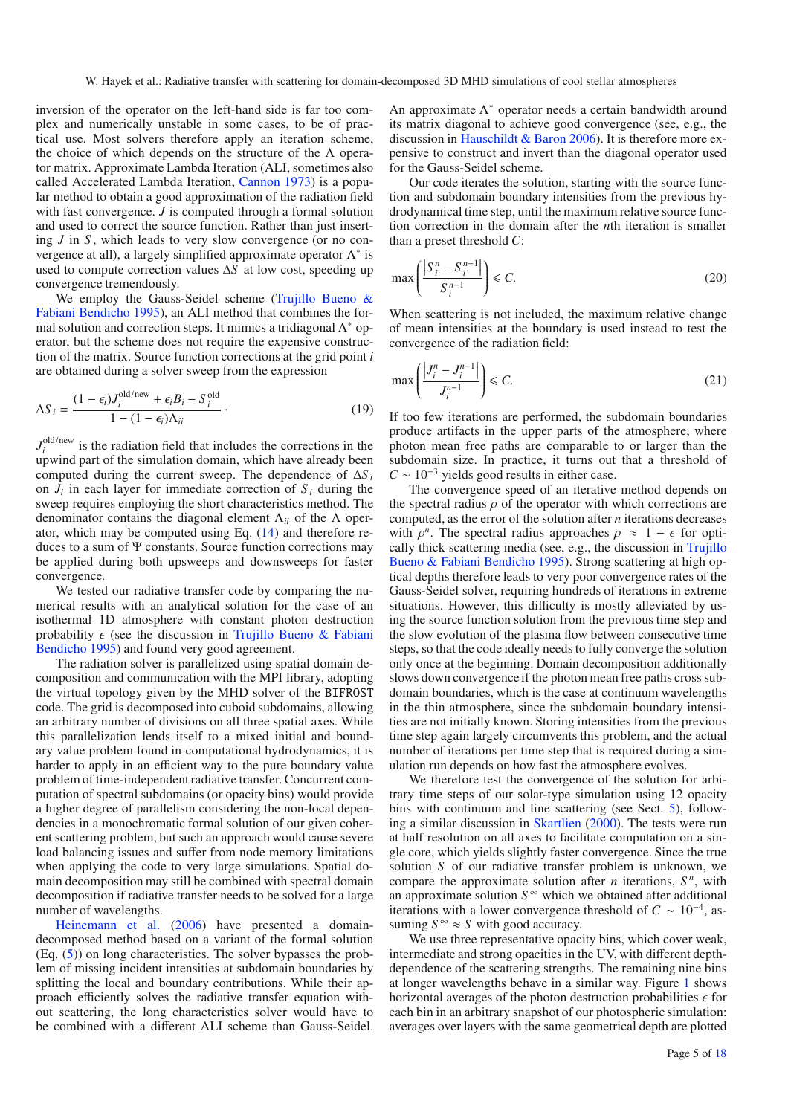inversion of the operator on the left-hand side is far too complex and numerically unstable in some cases, to be of practical use. Most solvers therefore apply an iteration scheme, the choice of which depends on the structure of the  $\Lambda$  operator matrix. Approximate Lambda Iteration (ALI, sometimes also called Accelerated Lambda Iteration, [Cannon 1973\)](#page-16-21) is a popular method to obtain a good approximation of the radiation field with fast convergence. *J* is computed through a formal solution and used to correct the source function. Rather than just inserting *J* in *S* , which leads to very slow convergence (or no convergence at all), a largely simplified approximate operator  $\Lambda^*$  is used to compute correction values Δ*S* at low cost, speeding up convergence tremendously.

We employ t[he](#page-17-15) [Gauss-Seidel](#page-17-15) [scheme](#page-17-15) [\(](#page-17-15)Trujillo Bueno & Fabiani Bendicho [1995\)](#page-17-15), an ALI method that combines the formal solution and correction steps. It mimics a tridiagonal  $\Lambda^*$  operator, but the scheme does not require the expensive construction of the matrix. Source function corrections at the grid point *i* are obtained during a solver sweep from the expression

$$
\Delta S_i = \frac{(1 - \epsilon_i)J_i^{\text{old/news}} + \epsilon_i B_i - S_i^{\text{old}}}{1 - (1 - \epsilon_i)\Lambda_{ii}}.
$$
\n(19)

 $J_i^{\text{old/news}}$  is the radiation field that includes the corrections in the upwind part of the simulation domain, which have already been computed during the current sweep. The dependence of  $\Delta S_i$ on  $J_i$  in each layer for immediate correction of  $S_i$  during the sweep requires employing the short characteristics method. The denominator contains the diagonal element Λ*ii* of the Λ operator, which may be computed using Eq. [\(14\)](#page-3-3) and therefore reduces to a sum of Ψ constants. Source function corrections may be applied during both upsweeps and downsweeps for faster convergence.

We tested our radiative transfer code by comparing the numerical results with an analytical solution for the case of an isothermal 1D atmosphere with constant photon destruction probability  $\epsilon$  [\(see the discussion in](#page-17-15) Trujillo Bueno & Fabiani Bendicho [1995\)](#page-17-15) and found very good agreement.

The radiation solver is parallelized using spatial domain decomposition and communication with the MPI library, adopting the virtual topology given by the MHD solver of the BIFROST code. The grid is decomposed into cuboid subdomains, allowing an arbitrary number of divisions on all three spatial axes. While this parallelization lends itself to a mixed initial and boundary value problem found in computational hydrodynamics, it is harder to apply in an efficient way to the pure boundary value problem of time-independent radiative transfer. Concurrent computation of spectral subdomains (or opacity bins) would provide a higher degree of parallelism considering the non-local dependencies in a monochromatic formal solution of our given coherent scattering problem, but such an approach would cause severe load balancing issues and suffer from node memory limitations when applying the code to very large simulations. Spatial domain decomposition may still be combined with spectral domain decomposition if radiative transfer needs to be solved for a large [number](#page-16-22) [of](#page-16-22) [wavelengths.](#page-16-22)

Heinemann et al. [\(2006\)](#page-16-22) have presented a domaindecomposed method based on a variant of the formal solution (Eq. [\(5\)](#page-1-4)) on long characteristics. The solver bypasses the problem of missing incident intensities at subdomain boundaries by splitting the local and boundary contributions. While their approach efficiently solves the radiative transfer equation without scattering, the long characteristics solver would have to be combined with a different ALI scheme than Gauss-Seidel.

An approximate Λ<sup>∗</sup> operator needs a certain bandwidth around its matrix diagonal to achieve good convergence (see, e.g., the discussion in [Hauschildt & Baron 2006\)](#page-16-23). It is therefore more expensive to construct and invert than the diagonal operator used for the Gauss-Seidel scheme.

Our code iterates the solution, starting with the source function and subdomain boundary intensities from the previous hydrodynamical time step, until the maximum relative source function correction in the domain after the *n*th iteration is smaller than a preset threshold *C*:

$$
\max\left(\frac{|S_i^n - S_i^{n-1}|}{S_i^{n-1}}\right) \leq C. \tag{20}
$$

When scattering is not included, the maximum relative change of mean intensities at the boundary is used instead to test the convergence of the radiation field:

$$
\max\left(\frac{|J_i^n - J_i^{n-1}|}{J_i^{n-1}}\right) \leq C. \tag{21}
$$

If too few iterations are performed, the subdomain boundaries produce artifacts in the upper parts of the atmosphere, where photon mean free paths are comparable to or larger than the subdomain size. In practice, it turns out that a threshold of  $C \sim 10^{-3}$  yields good results in either case.

The convergence speed of an iterative method depends on the spectral radius  $\rho$  of the operator with which corrections are computed, as the error of the solution after *n* iterations decreases with  $\rho^n$ . The spectral radius approaches  $\rho \approx 1 - \epsilon$  for optically thick scattering medi[a](#page-17-15) [\(see,](#page-17-15) [e.g.,](#page-17-15) [the](#page-17-15) [discussion](#page-17-15) [in](#page-17-15) Trujillo Bueno & Fabiani Bendicho [1995](#page-17-15)). Strong scattering at high optical depths therefore leads to very poor convergence rates of the Gauss-Seidel solver, requiring hundreds of iterations in extreme situations. However, this difficulty is mostly alleviated by using the source function solution from the previous time step and the slow evolution of the plasma flow between consecutive time steps, so that the code ideally needs to fully converge the solution only once at the beginning. Domain decomposition additionally slows down convergence if the photon mean free paths cross subdomain boundaries, which is the case at continuum wavelengths in the thin atmosphere, since the subdomain boundary intensities are not initially known. Storing intensities from the previous time step again largely circumvents this problem, and the actual number of iterations per time step that is required during a simulation run depends on how fast the atmosphere evolves.

We therefore test the convergence of the solution for arbitrary time steps of our solar-type simulation using 12 opacity bins with continuum and line scattering (see Sect. [5\)](#page-9-0), following a similar discussion in [Skartlien](#page-17-7) [\(2000](#page-17-7)). The tests were run at half resolution on all axes to facilitate computation on a single core, which yields slightly faster convergence. Since the true solution *S* of our radiative transfer problem is unknown, we compare the approximate solution after *n* iterations,  $S<sup>n</sup>$ , with an approximate solution  $S^{\infty}$  which we obtained after additional iterations with a lower convergence threshold of  $C \sim 10^{-4}$ , assuming  $S^{\infty} \approx S$  with good accuracy.

We use three representative opacity bins, which cover weak, intermediate and strong opacities in the UV, with different depthdependence of the scattering strengths. The remaining nine bins at longer wavelengths behave in a similar way. Figure [1](#page-5-0) shows horizontal averages of the photon destruction probabilities  $\epsilon$  for each bin in an arbitrary snapshot of our photospheric simulation: averages over layers with the same geometrical depth are plotted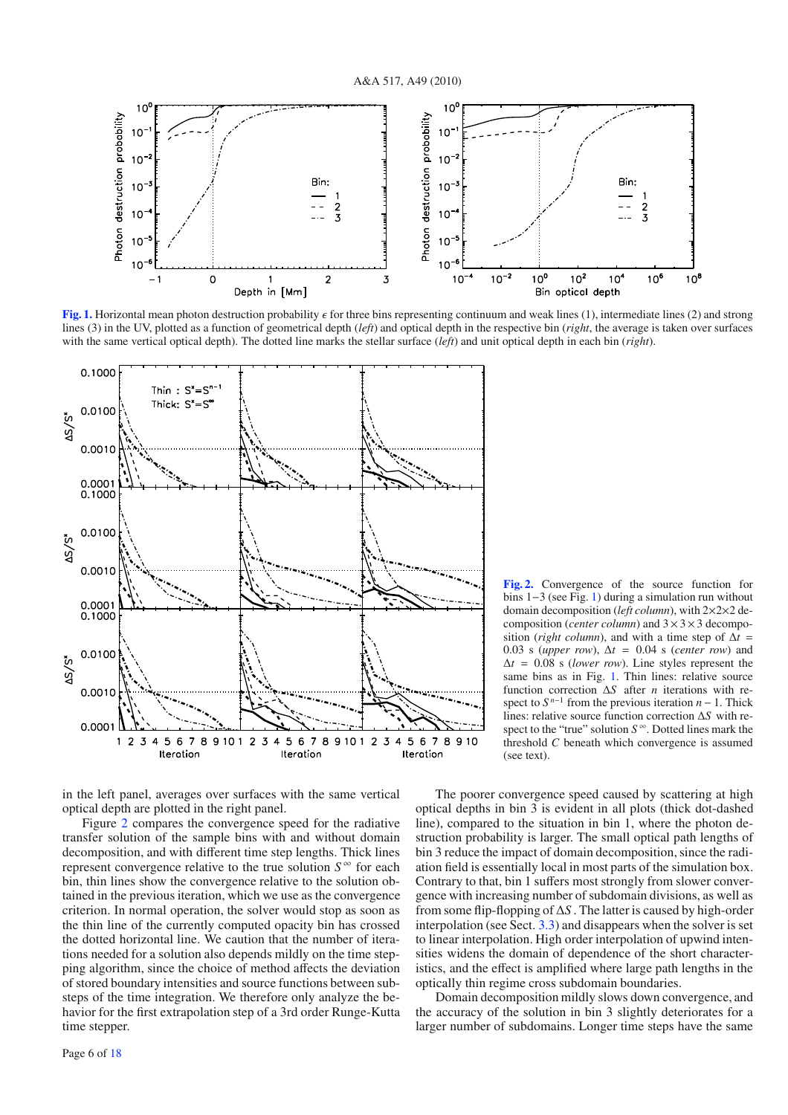<span id="page-5-0"></span>

**[Fig. 1.](http://dexter.edpsciences.org/applet.php?DOI=10.1051/0004-6361/201014210&pdf_id=1)** Horizontal mean photon destruction probability  $\epsilon$  for three bins representing continuum and weak lines (1), intermediate lines (2) and strong lines (3) in the UV, plotted as a function of geometrical depth (*left*) and optical depth in the respective bin (*right*, the average is taken over surfaces with the same vertical optical depth). The dotted line marks the stellar surface (*left*) and unit optical depth in each bin (*right*).



<span id="page-5-1"></span>**[Fig. 2.](http://dexter.edpsciences.org/applet.php?DOI=10.1051/0004-6361/201014210&pdf_id=2)** Convergence of the source function for bins 1−3 (see Fig. [1\)](#page-5-0) during a simulation run without domain decomposition (*left column*), with 2×2×2 decomposition (*center column*) and 3×3×3 decomposition (*right column*), and with a time step of  $\Delta t =$ 0.03 s (*upper row*),  $\Delta t = 0.04$  s (*center row*) and  $\Delta t = 0.08$  s (*lower row*). Line styles represent the same bins as in Fig. [1.](#page-5-0) Thin lines: relative source function correction Δ*S* after *n* iterations with respect to  $S^{n-1}$  from the previous iteration  $n-1$ . Thick lines: relative source function correction Δ*S* with respect to the "true" solution *S* <sup>∞</sup>. Dotted lines mark the threshold *C* beneath which convergence is assumed (see text).

in the left panel, averages over surfaces with the same vertical optical depth are plotted in the right panel.

Figure [2](#page-5-1) compares the convergence speed for the radiative transfer solution of the sample bins with and without domain decomposition, and with different time step lengths. Thick lines represent convergence relative to the true solution  $S^{\infty}$  for each bin, thin lines show the convergence relative to the solution obtained in the previous iteration, which we use as the convergence criterion. In normal operation, the solver would stop as soon as the thin line of the currently computed opacity bin has crossed the dotted horizontal line. We caution that the number of iterations needed for a solution also depends mildly on the time stepping algorithm, since the choice of method affects the deviation of stored boundary intensities and source functions between substeps of the time integration. We therefore only analyze the behavior for the first extrapolation step of a 3rd order Runge-Kutta time stepper.

Page 6 of [18](#page-17-2)

The poorer convergence speed caused by scattering at high optical depths in bin 3 is evident in all plots (thick dot-dashed line), compared to the situation in bin 1, where the photon destruction probability is larger. The small optical path lengths of bin 3 reduce the impact of domain decomposition, since the radiation field is essentially local in most parts of the simulation box. Contrary to that, bin 1 suffers most strongly from slower convergence with increasing number of subdomain divisions, as well as from some flip-flopping of Δ*S* . The latter is caused by high-order interpolation (see Sect. [3.3\)](#page-6-0) and disappears when the solver is set to linear interpolation. High order interpolation of upwind intensities widens the domain of dependence of the short characteristics, and the effect is amplified where large path lengths in the optically thin regime cross subdomain boundaries.

Domain decomposition mildly slows down convergence, and the accuracy of the solution in bin 3 slightly deteriorates for a larger number of subdomains. Longer time steps have the same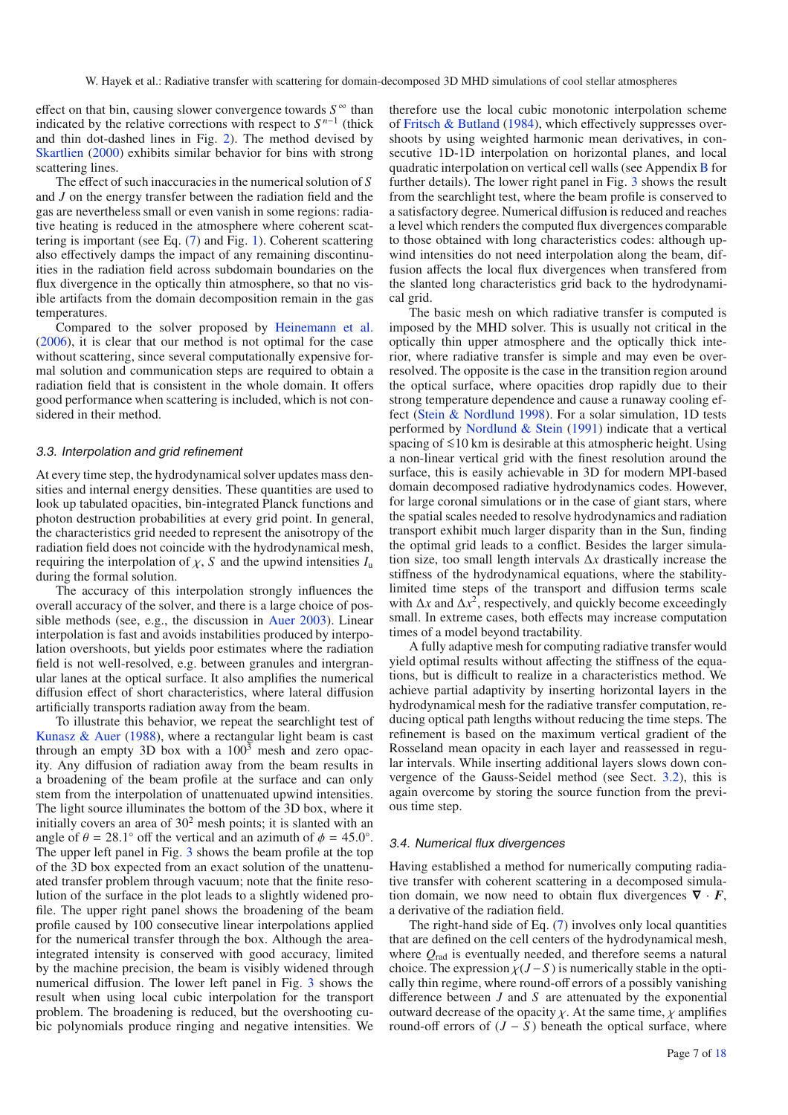effect on that bin, causing slower convergence towards  $S^{\infty}$  than indicated by the relative corrections with respect to *S <sup>n</sup>*−<sup>1</sup> (thick and thin dot-dashed lines in Fig. [2\)](#page-5-1). The method devised by [Skartlien](#page-17-7) [\(2000](#page-17-7)) exhibits similar behavior for bins with strong scattering lines.

The effect of such inaccuracies in the numerical solution of *S* and *J* on the energy transfer between the radiation field and the gas are nevertheless small or even vanish in some regions: radiative heating is reduced in the atmosphere where coherent scattering is important (see Eq. [\(7\)](#page-2-0) and Fig. [1\)](#page-5-0). Coherent scattering also effectively damps the impact of any remaining discontinuities in the radiation field across subdomain boundaries on the flux divergence in the optically thin atmosphere, so that no visible artifacts from the domain decomposition remain in the gas temperatures.

Compared to the solver proposed by [Heinemann et al.](#page-16-22) [\(2006\)](#page-16-22), it is clear that our method is not optimal for the case without scattering, since several computationally expensive formal solution and communication steps are required to obtain a radiation field that is consistent in the whole domain. It offers good performance when scattering is included, which is not considered in their method.

## <span id="page-6-0"></span>3.3. Interpolation and grid refinement

At every time step, the hydrodynamical solver updates mass densities and internal energy densities. These quantities are used to look up tabulated opacities, bin-integrated Planck functions and photon destruction probabilities at every grid point. In general, the characteristics grid needed to represent the anisotropy of the radiation field does not coincide with the hydrodynamical mesh, requiring the interpolation of  $\chi$ , *S* and the upwind intensities  $I_u$ during the formal solution.

The accuracy of this interpolation strongly influences the overall accuracy of the solver, and there is a large choice of possible methods (see, e.g., the discussion in [Auer 2003\)](#page-16-19). Linear interpolation is fast and avoids instabilities produced by interpolation overshoots, but yields poor estimates where the radiation field is not well-resolved, e.g. between granules and intergranular lanes at the optical surface. It also amplifies the numerical diffusion effect of short characteristics, where lateral diffusion artificially transports radiation away from the beam.

To illustrate this behavior, we repeat the searchlight test of [Kunasz & Auer](#page-16-18) [\(1988\)](#page-16-18), where a rectangular light beam is cast through an empty 3D box with a  $100<sup>3</sup>$  mesh and zero opacity. Any diffusion of radiation away from the beam results in a broadening of the beam profile at the surface and can only stem from the interpolation of unattenuated upwind intensities. The light source illuminates the bottom of the 3D box, where it initially covers an area of  $30<sup>2</sup>$  mesh points; it is slanted with an angle of  $\theta = 28.1^\circ$  off the vertical and an azimuth of  $\phi = 45.0^\circ$ . The upper left panel in Fig. [3](#page-7-0) shows the beam profile at the top of the 3D box expected from an exact solution of the unattenuated transfer problem through vacuum; note that the finite resolution of the surface in the plot leads to a slightly widened profile. The upper right panel shows the broadening of the beam profile caused by 100 consecutive linear interpolations applied for the numerical transfer through the box. Although the areaintegrated intensity is conserved with good accuracy, limited by the machine precision, the beam is visibly widened through numerical diffusion. The lower left panel in Fig. [3](#page-7-0) shows the result when using local cubic interpolation for the transport problem. The broadening is reduced, but the overshooting cubic polynomials produce ringing and negative intensities. We

therefore use the local cubic monotonic interpolation scheme of [Fritsch & Butland](#page-16-24) [\(1984](#page-16-24)), which effectively suppresses overshoots by using weighted harmonic mean derivatives, in consecutive 1D-1D interpolation on horizontal planes, and local quadratic interpolation on vertical cell walls (see Appendix [B](#page-15-0) for further details). The lower right panel in Fig. [3](#page-7-0) shows the result from the searchlight test, where the beam profile is conserved to a satisfactory degree. Numerical diffusion is reduced and reaches a level which renders the computed flux divergences comparable to those obtained with long characteristics codes: although upwind intensities do not need interpolation along the beam, diffusion affects the local flux divergences when transfered from the slanted long characteristics grid back to the hydrodynamical grid.

The basic mesh on which radiative transfer is computed is imposed by the MHD solver. This is usually not critical in the optically thin upper atmosphere and the optically thick interior, where radiative transfer is simple and may even be overresolved. The opposite is the case in the transition region around the optical surface, where opacities drop rapidly due to their strong temperature dependence and cause a runaway cooling effect [\(Stein & Nordlund 1998\)](#page-17-0). For a solar simulation, 1D tests performed by [Nordlund & Stein](#page-17-16) [\(1991\)](#page-17-16) indicate that a vertical spacing of ≤10 km is desirable at this atmospheric height. Using a non-linear vertical grid with the finest resolution around the surface, this is easily achievable in 3D for modern MPI-based domain decomposed radiative hydrodynamics codes. However, for large coronal simulations or in the case of giant stars, where the spatial scales needed to resolve hydrodynamics and radiation transport exhibit much larger disparity than in the Sun, finding the optimal grid leads to a conflict. Besides the larger simulation size, too small length intervals Δ*x* drastically increase the stiffness of the hydrodynamical equations, where the stabilitylimited time steps of the transport and diffusion terms scale with  $\Delta x$  and  $\Delta x^2$ , respectively, and quickly become exceedingly small. In extreme cases, both effects may increase computation times of a model beyond tractability.

A fully adaptive mesh for computing radiative transfer would yield optimal results without affecting the stiffness of the equations, but is difficult to realize in a characteristics method. We achieve partial adaptivity by inserting horizontal layers in the hydrodynamical mesh for the radiative transfer computation, reducing optical path lengths without reducing the time steps. The refinement is based on the maximum vertical gradient of the Rosseland mean opacity in each layer and reassessed in regular intervals. While inserting additional layers slows down convergence of the Gauss-Seidel method (see Sect. [3.2\)](#page-3-1), this is again overcome by storing the source function from the previous time step.

#### 3.4. Numerical flux divergences

Having established a method for numerically computing radiative transfer with coherent scattering in a decomposed simulation domain, we now need to obtain flux divergences  $\nabla \cdot F$ , a derivative of the radiation field.

The right-hand side of Eq. [\(7\)](#page-2-0) involves only local quantities that are defined on the cell centers of the hydrodynamical mesh, where *Q*rad is eventually needed, and therefore seems a natural choice. The expression  $\chi$ (*J*−*S*) is numerically stable in the optically thin regime, where round-off errors of a possibly vanishing difference between *J* and *S* are attenuated by the exponential outward decrease of the opacity  $\chi$ . At the same time,  $\chi$  amplifies round-off errors of  $(J - S)$  beneath the optical surface, where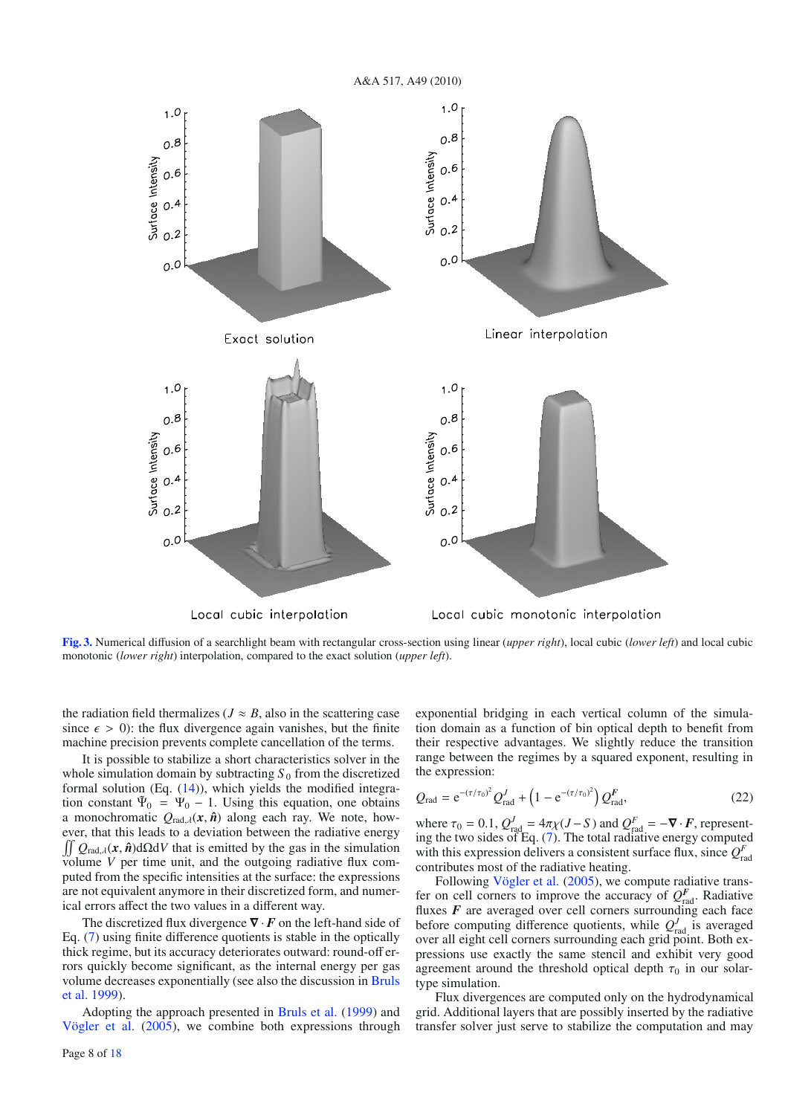

<span id="page-7-0"></span>**[Fig. 3.](http://dexter.edpsciences.org/applet.php?DOI=10.1051/0004-6361/201014210&pdf_id=3)** Numerical diffusion of a searchlight beam with rectangular cross-section using linear (*upper right*), local cubic (*lower left*) and local cubic monotonic (*lower right*) interpolation, compared to the exact solution (*upper left*).

the radiation field thermalizes ( $J \approx B$ , also in the scattering case since  $\epsilon > 0$ : the flux divergence again vanishes, but the finite machine precision prevents complete cancellation of the terms.

It is possible to stabilize a short characteristics solver in the whole simulation domain by subtracting  $S_0$  from the discretized formal solution (Eq. [\(14\)](#page-3-3)), which yields the modified integration constant  $\tilde{\Psi}_0 = \Psi_0 - 1$ . Using this equation, one obtains a monochromatic  $Q_{\text{rad},\lambda}(\mathbf{x}, \hat{\mathbf{n}})$  along each ray. We note, however, that this leads to a deviation between the radiative energy  $\iint Q_{rad,\lambda}(\mathbf{x}, \hat{\mathbf{n}}) d\Omega dV$  that is emitted by the gas in the simulation volume *V* per time unit, and the outgoing radiative flux computed from the specific intensities at the surface: the expressions are not equivalent anymore in their discretized form, and numerical errors affect the two values in a different way.

The discretized flux divergence ∇ · *F* on the left-hand side of Eq. [\(7\)](#page-2-0) using finite difference quotients is stable in the optically thick regime, but its accuracy deteriorates outward: round-off errors quickly become significant, as the internal energy per gas volu[me decreases exponentially \(see also the discussion in](#page-16-16) Bruls et al. [1999](#page-16-16)).

Adopting the approach presented in [Bruls et al.](#page-16-16) [\(1999](#page-16-16)) and [Vögler et al.](#page-17-12) [\(2005](#page-17-12)), we combine both expressions through exponential bridging in each vertical column of the simulation domain as a function of bin optical depth to benefit from their respective advantages. We slightly reduce the transition range between the regimes by a squared exponent, resulting in the expression:

$$
Q_{\rm rad} = e^{-(\tau/\tau_0)^2} Q_{\rm rad}^J + \left(1 - e^{-(\tau/\tau_0)^2}\right) Q_{\rm rad}^F,
$$
 (22)

where  $\tau_0 = 0.1$ ,  $Q_{\text{rad}}^J = 4\pi \chi (J - S)$  and  $Q_{\text{rad}}^F = -\nabla \cdot \vec{F}$ , representing the two sides of Eq. [\(7\)](#page-2-0). The total radiative energy computed with this expression delivers a consistent surface flux, since  $Q_{\text{rad}}^F$ contributes most of the radiative heating.

Following [Vögler et al.](#page-17-12) [\(2005\)](#page-17-12), we compute radiative transfer on cell corners to improve the accuracy of  $Q_{rad}^F$ . Radiative fluxes *F* are averaged over cell corners surrounding each face before computing difference quotients, while  $Q_{\text{rad}}^J$  is averaged over all eight cell corners surrounding each grid point. Both expressions use exactly the same stencil and exhibit very good agreement around the threshold optical depth  $\tau_0$  in our solartype simulation.

Flux divergences are computed only on the hydrodynamical grid. Additional layers that are possibly inserted by the radiative transfer solver just serve to stabilize the computation and may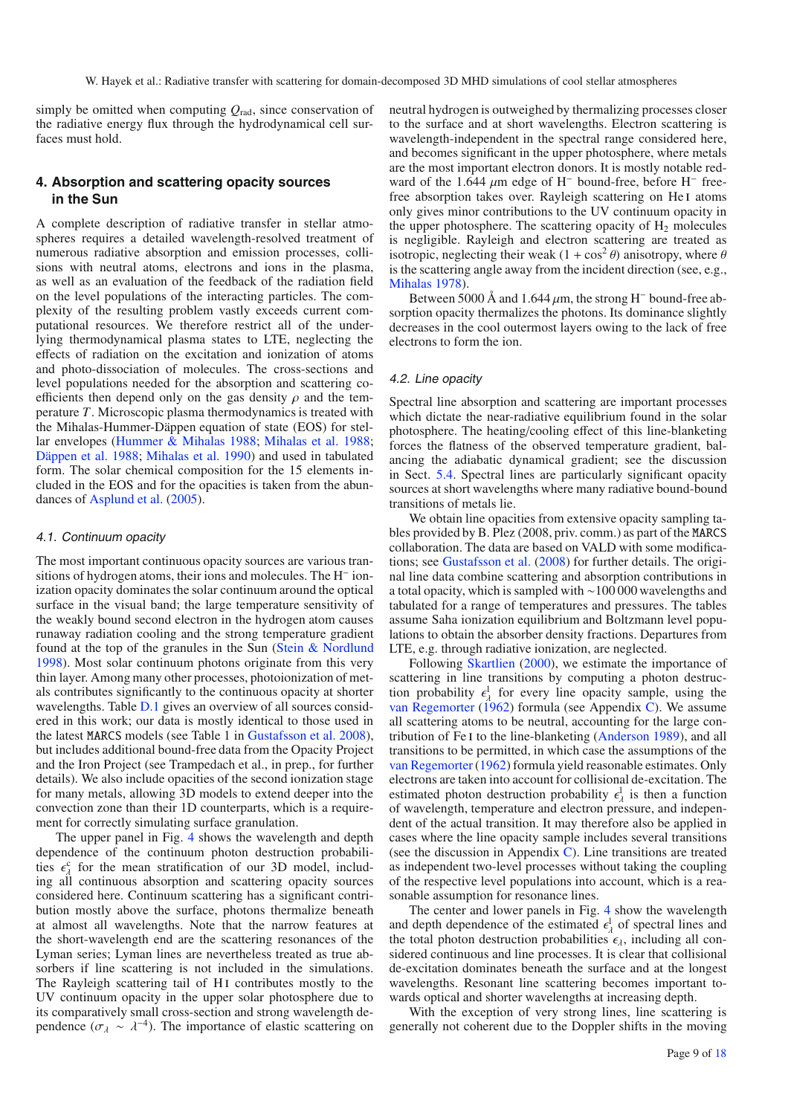W. Hayek et al.: Radiative transfer with scattering for domain-decomposed 3D MHD simulations of cool stellar atmospheres

simply be omitted when computing  $Q_{\text{rad}}$ , since conservation of the radiative energy flux through the hydrodynamical cell surfaces must hold.

# <span id="page-8-0"></span>**4. Absorption and scattering opacity sources in the Sun**

A complete description of radiative transfer in stellar atmospheres requires a detailed wavelength-resolved treatment of numerous radiative absorption and emission processes, collisions with neutral atoms, electrons and ions in the plasma, as well as an evaluation of the feedback of the radiation field on the level populations of the interacting particles. The complexity of the resulting problem vastly exceeds current computational resources. We therefore restrict all of the underlying thermodynamical plasma states to LTE, neglecting the effects of radiation on the excitation and ionization of atoms and photo-dissociation of molecules. The cross-sections and level populations needed for the absorption and scattering coefficients then depend only on the gas density  $\rho$  and the temperature *T*. Microscopic plasma thermodynamics is treated with the Mihalas-Hummer-Däppen equation of state (EOS) for stellar envelopes [\(Hummer & Mihalas 1988;](#page-16-25) [Mihalas et al. 1988](#page-16-26); [Däppen et al. 1988;](#page-16-27) [Mihalas et al. 1990](#page-16-28)) and used in tabulated form. The solar chemical composition for the 15 elements included in the EOS and for the opacities is taken from the abundances of [Asplund et al.](#page-16-29) [\(2005](#page-16-29)).

#### 4.1. Continuum opacity

The most important continuous opacity sources are various transitions of hydrogen atoms, their ions and molecules. The H<sup>−</sup> ionization opacity dominates the solar continuum around the optical surface in the visual band; the large temperature sensitivity of the weakly bound second electron in the hydrogen atom causes runaway radiation cooling and the strong temperature gradient found at the top of the granules in the Sun [\(Stein & Nordlund](#page-17-0) [1998](#page-17-0)). Most solar continuum photons originate from this very thin layer. Among many other processes, photoionization of metals contributes significantly to the continuous opacity at shorter wavelengths. Table **[D.1](#page-16-30)** gives an overview of all sources considered in this work; our data is mostly identical to those used in the latest MARCS models (see Table 1 in [Gustafsson et al. 2008](#page-16-3)), but includes additional bound-free data from the Opacity Project and the Iron Project (see Trampedach et al., in prep., for further details). We also include opacities of the second ionization stage for many metals, allowing 3D models to extend deeper into the convection zone than their 1D counterparts, which is a requirement for correctly simulating surface granulation.

The upper panel in Fig. [4](#page-9-2) shows the wavelength and depth dependence of the continuum photon destruction probabilities  $\epsilon_{\lambda}^c$  for the mean stratification of our 3D model, including all continuous absorption and scattering opacity sources considered here. Continuum scattering has a significant contribution mostly above the surface, photons thermalize beneath at almost all wavelengths. Note that the narrow features at the short-wavelength end are the scattering resonances of the Lyman series; Lyman lines are nevertheless treated as true absorbers if line scattering is not included in the simulations. The Rayleigh scattering tail of H<sub>I</sub> contributes mostly to the UV continuum opacity in the upper solar photosphere due to its comparatively small cross-section and strong wavelength dependence ( $\sigma_{\lambda} \sim \lambda^{-4}$ ). The importance of elastic scattering on

neutral hydrogen is outweighed by thermalizing processes closer to the surface and at short wavelengths. Electron scattering is wavelength-independent in the spectral range considered here, and becomes significant in the upper photosphere, where metals are the most important electron donors. It is mostly notable redward of the 1.644  $\mu$ m edge of H<sup>−</sup> bound-free, before H<sup>−</sup> freefree absorption takes over. Rayleigh scattering on He<sub>I</sub> atoms only gives minor contributions to the UV continuum opacity in the upper photosphere. The scattering opacity of  $H_2$  molecules is negligible. Rayleigh and electron scattering are treated as isotropic, neglecting their weak  $(1 + \cos^2 \theta)$  anisotropy, where  $\theta$ is the scattering angle away from the incident direction (see, e.g., [Mihalas 1978\)](#page-16-13).

Between 5000 Å and 1.644  $\mu$ m, the strong H<sup>-</sup> bound-free absorption opacity thermalizes the photons. Its dominance slightly decreases in the cool outermost layers owing to the lack of free electrons to form the ion.

# 4.2. Line opacity

Spectral line absorption and scattering are important processes which dictate the near-radiative equilibrium found in the solar photosphere. The heating/cooling effect of this line-blanketing forces the flatness of the observed temperature gradient, balancing the adiabatic dynamical gradient; see the discussion in Sect. [5.4.](#page-11-0) Spectral lines are particularly significant opacity sources at short wavelengths where many radiative bound-bound transitions of metals lie.

We obtain line opacities from extensive opacity sampling tables provided by B. Plez (2008, priv. comm.) as part of the MARCS collaboration. The data are based on VALD with some modifications; see [Gustafsson et al.](#page-16-3) [\(2008](#page-16-3)) for further details. The original line data combine scattering and absorption contributions in a total opacity, which is sampled with ∼100 000 wavelengths and tabulated for a range of temperatures and pressures. The tables assume Saha ionization equilibrium and Boltzmann level populations to obtain the absorber density fractions. Departures from LTE, e.g. through radiative ionization, are neglected.

Following [Skartlien](#page-17-7) [\(2000\)](#page-17-7), we estimate the importance of scattering in line transitions by computing a photon destruction probability  $\epsilon_{\lambda}^{\parallel}$  for every line opacity sample, using the [van Regemorter](#page-17-17) [\(1962\)](#page-17-17) formula (see Appendix [C\)](#page-15-1). We assume all scattering atoms to be neutral, accounting for the large contribution of Fe i to the line-blanketing [\(Anderson 1989](#page-16-31)), and all transitions to be permitted, in which case the assumptions of the [van Regemorter\(1962](#page-17-17)) formula yield reasonable estimates. Only electrons are taken into account for collisional de-excitation. The estimated photon destruction probability  $\epsilon_{\lambda}^{\perp}$  is then a function of wavelength, temperature and electron pressure, and independent of the actual transition. It may therefore also be applied in cases where the line opacity sample includes several transitions (see the discussion in Appendix  $C$ ). Line transitions are treated as independent two-level processes without taking the coupling of the respective level populations into account, which is a reasonable assumption for resonance lines.

The center and lower panels in Fig. [4](#page-9-2) show the wavelength and depth dependence of the estimated  $\epsilon^1_\lambda$  of spectral lines and the total photon destruction probabilities  $\epsilon_{\lambda}$ , including all considered continuous and line processes. It is clear that collisional de-excitation dominates beneath the surface and at the longest wavelengths. Resonant line scattering becomes important towards optical and shorter wavelengths at increasing depth.

With the exception of very strong lines, line scattering is generally not coherent due to the Doppler shifts in the moving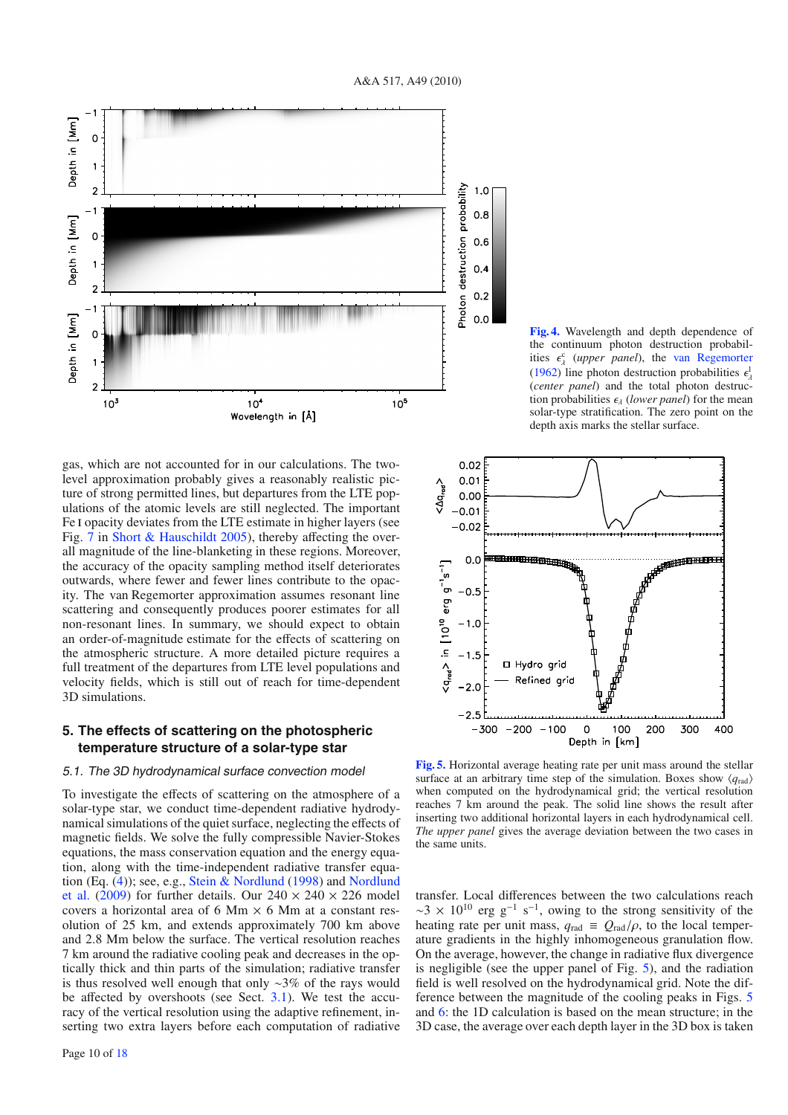

gas, which are not accounted for in our calculations. The twolevel approximation probably gives a reasonably realistic picture of strong permitted lines, but departures from the LTE populations of the atomic levels are still neglected. The important Fe I opacity deviates from the LTE estimate in higher layers (see Fig. [7](#page-11-1) in [Short & Hauschildt 2005\)](#page-17-18), thereby affecting the overall magnitude of the line-blanketing in these regions. Moreover, the accuracy of the opacity sampling method itself deteriorates outwards, where fewer and fewer lines contribute to the opacity. The van Regemorter approximation assumes resonant line scattering and consequently produces poorer estimates for all non-resonant lines. In summary, we should expect to obtain an order-of-magnitude estimate for the effects of scattering on the atmospheric structure. A more detailed picture requires a full treatment of the departures from LTE level populations and velocity fields, which is still out of reach for time-dependent 3D simulations.

# <span id="page-9-0"></span>**5. The effects of scattering on the photospheric temperature structure of a solar-type star**

#### <span id="page-9-1"></span>5.1. The 3D hydrodynamical surface convection model

To investigate the effects of scattering on the atmosphere of a solar-type star, we conduct time-dependent radiative hydrodynamical simulations of the quiet surface, neglecting the effects of magnetic fields. We solve the fully compressible Navier-Stokes equations, the mass conservation equation and the energy equation, along with the time-independent radiative transfer equation [\(Eq.](#page-17-1) [\(4\)](#page-1-2)[\); see, e.g.,](#page-17-1) [Stein & Nordlund](#page-17-0) [\(1998\)](#page-17-0) and Nordlund et al. [\(2009\)](#page-17-1) for further details. Our  $240 \times 240 \times 226$  model covers a horizontal area of 6 Mm  $\times$  6 Mm at a constant resolution of 25 km, and extends approximately 700 km above and 2.8 Mm below the surface. The vertical resolution reaches 7 km around the radiative cooling peak and decreases in the optically thick and thin parts of the simulation; radiative transfer is thus resolved well enough that only ∼3% of the rays would be affected by overshoots (see Sect. [3.1\)](#page-3-5). We test the accuracy of the vertical resolution using the adaptive refinement, inserting two extra layers before each computation of radiative

<span id="page-9-2"></span>**[Fig. 4.](http://dexter.edpsciences.org/applet.php?DOI=10.1051/0004-6361/201014210&pdf_id=4)** Wavelength and depth dependence of the continuum photon destruction probabilities  $\epsilon_{\lambda}^{c}$  (*upper panel*), the [van Regemorter](#page-17-17) [\(1962\)](#page-17-17) line photon destruction probabilities  $\epsilon_{\lambda}^{\perp}$ (*center panel*) and the total photon destruction probabilities  $\epsilon_{\lambda}$  (*lower panel*) for the mean solar-type stratification. The zero point on the depth axis marks the stellar surface.

<span id="page-9-3"></span>

**[Fig. 5.](http://dexter.edpsciences.org/applet.php?DOI=10.1051/0004-6361/201014210&pdf_id=5)** Horizontal average heating rate per unit mass around the stellar surface at an arbitrary time step of the simulation. Boxes show  $\langle q_{\text{rad}} \rangle$ when computed on the hydrodynamical grid; the vertical resolution reaches 7 km around the peak. The solid line shows the result after inserting two additional horizontal layers in each hydrodynamical cell. *The upper panel* gives the average deviation between the two cases in the same units.

transfer. Local differences between the two calculations reach  $\sim$ 3 × 10<sup>10</sup> erg g<sup>-1</sup> s<sup>-1</sup>, owing to the strong sensitivity of the heating rate per unit mass,  $q_{\text{rad}} \equiv Q_{\text{rad}}/\rho$ , to the local temperature gradients in the highly inhomogeneous granulation flow. On the average, however, the change in radiative flux divergence is negligible (see the upper panel of Fig. [5\)](#page-9-3), and the radiation field is well resolved on the hydrodynamical grid. Note the difference between the magnitude of the cooling peaks in Figs. [5](#page-9-3) and [6:](#page-10-1) the 1D calculation is based on the mean structure; in the 3D case, the average over each depth layer in the 3D box is taken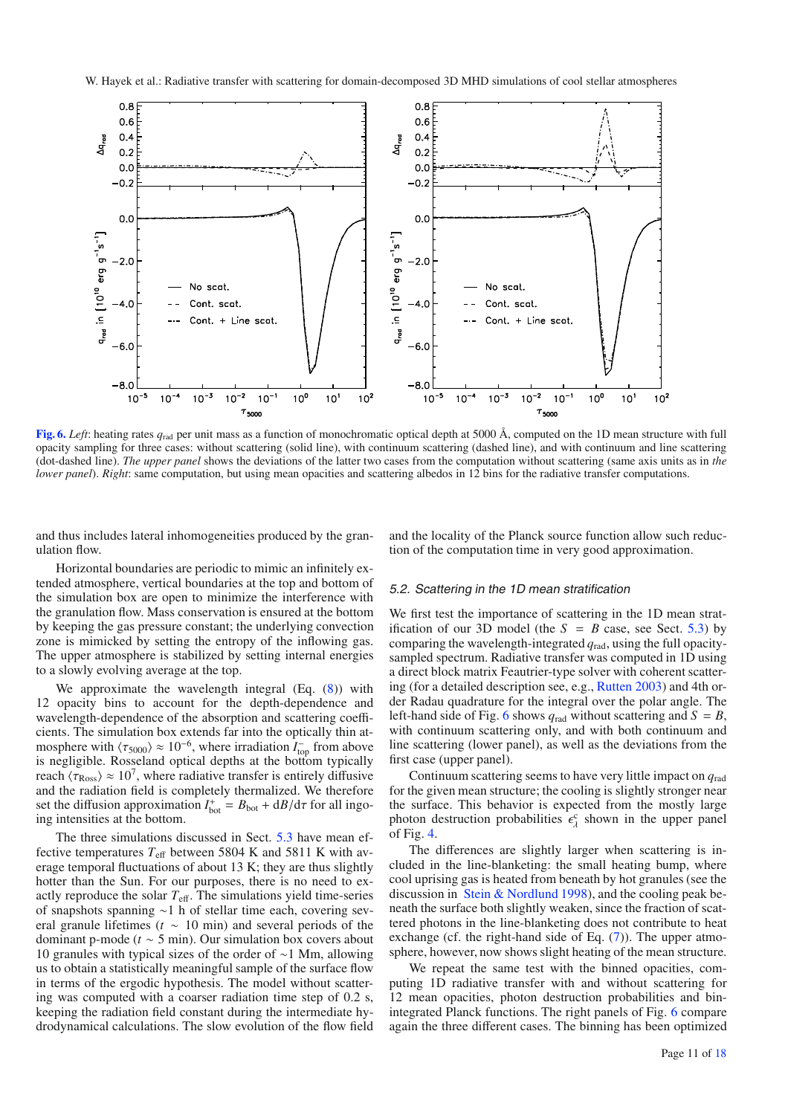<span id="page-10-1"></span>

**[Fig. 6.](http://dexter.edpsciences.org/applet.php?DOI=10.1051/0004-6361/201014210&pdf_id=6)** *Left*: heating rates  $q_{rad}$  per unit mass as a function of monochromatic optical depth at 5000 Å, computed on the 1D mean structure with full opacity sampling for three cases: without scattering (solid line), with continuum scattering (dashed line), and with continuum and line scattering (dot-dashed line). *The upper panel* shows the deviations of the latter two cases from the computation without scattering (same axis units as in *the lower panel*). *Right*: same computation, but using mean opacities and scattering albedos in 12 bins for the radiative transfer computations.

and thus includes lateral inhomogeneities produced by the granulation flow.

and the locality of the Planck source function allow such reduction of the computation time in very good approximation.

Horizontal boundaries are periodic to mimic an infinitely extended atmosphere, vertical boundaries at the top and bottom of the simulation box are open to minimize the interference with the granulation flow. Mass conservation is ensured at the bottom by keeping the gas pressure constant; the underlying convection zone is mimicked by setting the entropy of the inflowing gas. The upper atmosphere is stabilized by setting internal energies to a slowly evolving average at the top.

We approximate the wavelength integral (Eq.  $(8)$ ) with 12 opacity bins to account for the depth-dependence and wavelength-dependence of the absorption and scattering coefficients. The simulation box extends far into the optically thin atmosphere with  $\langle \tau_{5000} \rangle \approx 10^{-6}$ , where irradiation  $I_{\text{top}}^-$  from above is negligible. Rosseland optical depths at the bottom typically reach  $\langle \tau_{\rm Ross} \rangle \approx 10^7$ , where radiative transfer is entirely diffusive and the radiation field is completely thermalized. We therefore set the diffusion approximation  $I_{\text{bot}}^+ = B_{\text{bot}} + \frac{d}{B} / \frac{d}{d\tau}$  for all ingoing intensities at the bottom.

The three simulations discussed in Sect. [5.3](#page-11-2) have mean effective temperatures  $T_{\text{eff}}$  between 5804 K and 5811 K with average temporal fluctuations of about 13 K; they are thus slightly hotter than the Sun. For our purposes, there is no need to exactly reproduce the solar  $T_{\text{eff}}$ . The simulations yield time-series of snapshots spanning ∼1 h of stellar time each, covering several granule lifetimes (*t* ∼ 10 min) and several periods of the dominant p-mode ( $t \sim 5$  min). Our simulation box covers about 10 granules with typical sizes of the order of ∼1 Mm, allowing us to obtain a statistically meaningful sample of the surface flow in terms of the ergodic hypothesis. The model without scattering was computed with a coarser radiation time step of 0.2 s, keeping the radiation field constant during the intermediate hydrodynamical calculations. The slow evolution of the flow field

# <span id="page-10-0"></span>5.2. Scattering in the 1D mean stratification

We first test the importance of scattering in the 1D mean stratification of our 3D model (the  $S = B$  case, see Sect. [5.3\)](#page-11-2) by comparing the wavelength-integrated *q*rad, using the full opacitysampled spectrum. Radiative transfer was computed in 1D using a direct block matrix Feautrier-type solver with coherent scattering (for a detailed description see, e.g., [Rutten 2003\)](#page-17-8) and 4th order Radau quadrature for the integral over the polar angle. The left-hand side of Fig. [6](#page-10-1) shows  $q_{rad}$  without scattering and  $S = B$ , with continuum scattering only, and with both continuum and line scattering (lower panel), as well as the deviations from the first case (upper panel).

Continuum scattering seems to have very little impact on *q*rad for the given mean structure; the cooling is slightly stronger near the surface. This behavior is expected from the mostly large photon destruction probabilities  $\epsilon_{\lambda}^c$  shown in the upper panel of Fig. [4.](#page-9-2)

The differences are slightly larger when scattering is included in the line-blanketing: the small heating bump, where cool uprising gas is heated from beneath by hot granules (see the discussion in [Stein & Nordlund 1998\)](#page-17-0), and the cooling peak beneath the surface both slightly weaken, since the fraction of scattered photons in the line-blanketing does not contribute to heat exchange (cf. the right-hand side of Eq. [\(7\)](#page-2-0)). The upper atmosphere, however, now shows slight heating of the mean structure.

We repeat the same test with the binned opacities, computing 1D radiative transfer with and without scattering for 12 mean opacities, photon destruction probabilities and binintegrated Planck functions. The right panels of Fig. [6](#page-10-1) compare again the three different cases. The binning has been optimized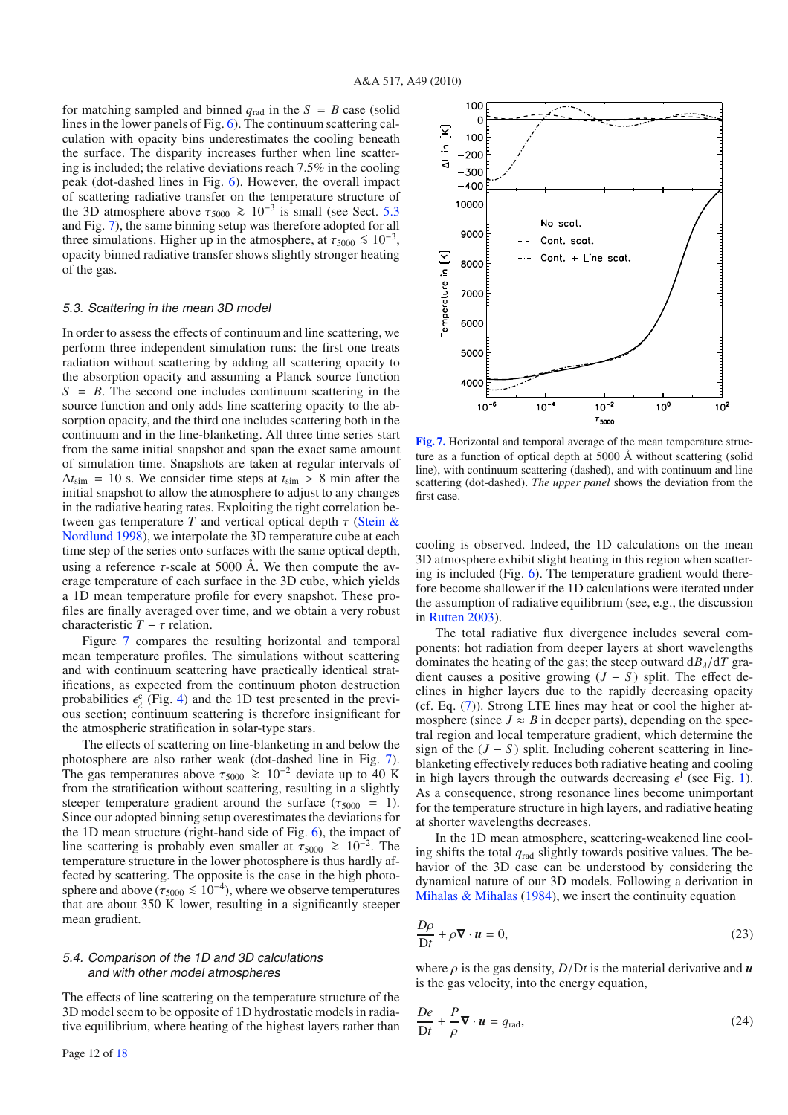for matching sampled and binned  $q_{rad}$  in the  $S = B$  case (solid lines in the lower panels of Fig. [6\)](#page-10-1). The continuum scattering calculation with opacity bins underestimates the cooling beneath the surface. The disparity increases further when line scattering is included; the relative deviations reach 7.5% in the cooling peak (dot-dashed lines in Fig. [6\)](#page-10-1). However, the overall impact of scattering radiative transfer on the temperature structure of the 3D atmosphere above  $\tau_{5000} \ge 10^{-3}$  is small (see Sect. [5.3](#page-11-2) and Fig. [7\)](#page-11-1), the same binning setup was therefore adopted for all three simulations. Higher up in the atmosphere, at  $\tau_{5000} \leq 10^{-3}$ , opacity binned radiative transfer shows slightly stronger heating of the gas.

#### <span id="page-11-2"></span>5.3. Scattering in the mean 3D model

In order to assess the effects of continuum and line scattering, we perform three independent simulation runs: the first one treats radiation without scattering by adding all scattering opacity to the absorption opacity and assuming a Planck source function  $S = B$ . The second one includes continuum scattering in the source function and only adds line scattering opacity to the absorption opacity, and the third one includes scattering both in the continuum and in the line-blanketing. All three time series start from the same initial snapshot and span the exact same amount of simulation time. Snapshots are taken at regular intervals of  $\Delta t_{\text{sim}}$  = 10 s. We consider time steps at  $t_{\text{sim}} > 8$  min after the initial snapshot to allow the atmosphere to adjust to any changes in the radiative heating rates. Exploiting the tight correlation between gas temperature *T* [and vertical optical depth](#page-17-0)  $\tau$  (Stein & Nordlund [1998\)](#page-17-0), we interpolate the 3D temperature cube at each time step of the series onto surfaces with the same optical depth, using a reference  $\tau$ -scale at 5000 Å. We then compute the average temperature of each surface in the 3D cube, which yields a 1D mean temperature profile for every snapshot. These profiles are finally averaged over time, and we obtain a very robust characteristic  $T - \tau$  relation.

Figure [7](#page-11-1) compares the resulting horizontal and temporal mean temperature profiles. The simulations without scattering and with continuum scattering have practically identical stratifications, as expected from the continuum photon destruction probabilities  $\epsilon_{\lambda}^{\rm c}$  (Fig. [4\)](#page-9-2) and the 1D test presented in the previous section; continuum scattering is therefore insignificant for the atmospheric stratification in solar-type stars.

The effects of scattering on line-blanketing in and below the photosphere are also rather weak (dot-dashed line in Fig. [7\)](#page-11-1). The gas temperatures above  $\tau_{5000} \ge 10^{-2}$  deviate up to 40 K from the stratification without scattering, resulting in a slightly steeper temperature gradient around the surface ( $\tau_{5000}$  = 1). Since our adopted binning setup overestimates the deviations for the 1D mean structure (right-hand side of Fig. [6\)](#page-10-1), the impact of line scattering is probably even smaller at  $\tau_{5000}$  ≥ 10<sup>-2</sup>. The temperature structure in the lower photosphere is thus hardly affected by scattering. The opposite is the case in the high photosphere and above ( $\tau_{5000} \le 10^{-4}$ ), where we observe temperatures that are about 350 K lower, resulting in a significantly steeper mean gradient.

## <span id="page-11-0"></span>5.4. Comparison of the 1D and 3D calculations and with other model atmospheres

The effects of line scattering on the temperature structure of the 3D model seem to be opposite of 1D hydrostatic models in radiative equilibrium, where heating of the highest layers rather than

<span id="page-11-1"></span>

**[Fig. 7.](http://dexter.edpsciences.org/applet.php?DOI=10.1051/0004-6361/201014210&pdf_id=7)** Horizontal and temporal average of the mean temperature structure as a function of optical depth at 5000 Å without scattering (solid line), with continuum scattering (dashed), and with continuum and line scattering (dot-dashed). *The upper panel* shows the deviation from the first case.

cooling is observed. Indeed, the 1D calculations on the mean 3D atmosphere exhibit slight heating in this region when scattering is included (Fig. [6\)](#page-10-1). The temperature gradient would therefore become shallower if the 1D calculations were iterated under the assumption of radiative equilibrium (see, e.g., the discussion in [Rutten 2003](#page-17-8)).

The total radiative flux divergence includes several components: hot radiation from deeper layers at short wavelengths dominates the heating of the gas; the steep outward  $dB_\lambda/dT$  gradient causes a positive growing  $(J - S)$  split. The effect declines in higher layers due to the rapidly decreasing opacity (cf. Eq. [\(7\)](#page-2-0)). Strong LTE lines may heat or cool the higher atmosphere (since  $J \approx B$  in deeper parts), depending on the spectral region and local temperature gradient, which determine the sign of the  $(J - S)$  split. Including coherent scattering in lineblanketing effectively reduces both radiative heating and cooling in high layers through the outwards decreasing  $\epsilon^1$  (see Fig. [1\)](#page-5-0). As a consequence, strong resonance lines become unimportant for the temperature structure in high layers, and radiative heating at shorter wavelengths decreases.

In the 1D mean atmosphere, scattering-weakened line cooling shifts the total *q*rad slightly towards positive values. The behavior of the 3D case can be understood by considering the dynamical nature of our 3D models. Following a derivation in Mihalas  $& Mihalas$  [\(1984\)](#page-16-32), we insert the continuity equation

$$
\frac{D\rho}{Dt} + \rho \nabla \cdot \mathbf{u} = 0,
$$
\n(23)

where  $\rho$  is the gas density,  $D/Dt$  is the material derivative and  $\boldsymbol{u}$ is the gas velocity, into the energy equation,

$$
\frac{De}{Dt} + \frac{P}{\rho} \nabla \cdot \mathbf{u} = q_{\text{rad}},\tag{24}
$$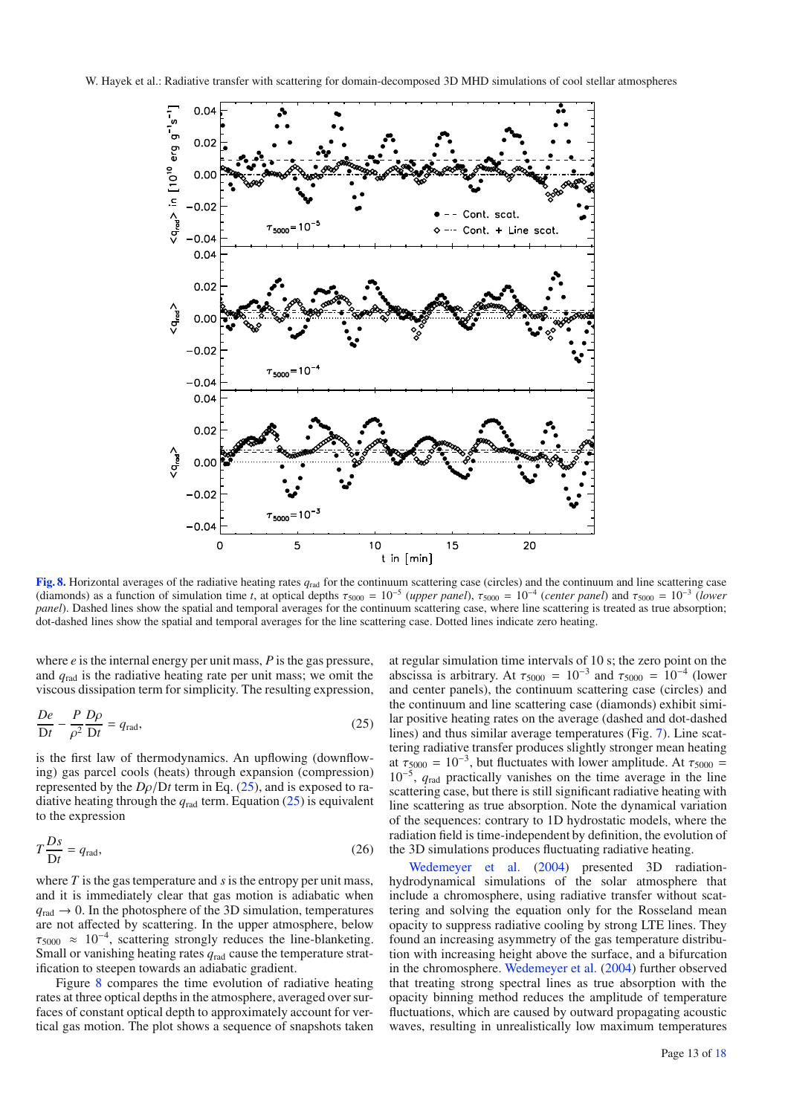

<span id="page-12-1"></span><span id="page-12-0"></span>**[Fig. 8.](http://dexter.edpsciences.org/applet.php?DOI=10.1051/0004-6361/201014210&pdf_id=8)** Horizontal averages of the radiative heating rates *q*rad for the continuum scattering case (circles) and the continuum and line scattering case (diamonds) as a function of simulation time *t*, at optical depths  $\tau_{5000} = 10^{-5}$  (*upper panel*),  $\tau_{5000} = 10^{-4}$  (*center panel*) and  $\tau_{5000} = 10^{-3}$  (*lower panel*). Dashed lines show the spatial and temporal averages for the continuum scattering case, where line scattering is treated as true absorption; dot-dashed lines show the spatial and temporal averages for the line scattering case. Dotted lines indicate zero heating.

where *e* is the internal energy per unit mass, *P* is the gas pressure, and *q*rad is the radiative heating rate per unit mass; we omit the viscous dissipation term for simplicity. The resulting expression,

$$
\frac{De}{Dt} - \frac{P}{\rho^2} \frac{D\rho}{Dt} = q_{\text{rad}},\tag{25}
$$

is the first law of thermodynamics. An upflowing (downflowing) gas parcel cools (heats) through expansion (compression) represented by the  $D\rho/Dt$  term in Eq. [\(25\)](#page-12-0), and is exposed to radiative heating through the  $q_{rad}$  term. Equation [\(25\)](#page-12-0) is equivalent to the expression

$$
T\frac{Ds}{Dt} = q_{\text{rad}},\tag{26}
$$

where  $T$  is the gas temperature and  $s$  is the entropy per unit mass, and it is immediately clear that gas motion is adiabatic when  $q_{\text{rad}} \rightarrow 0$ . In the photosphere of the 3D simulation, temperatures are not affected by scattering. In the upper atmosphere, below  $\tau_{5000} \approx 10^{-4}$ , scattering strongly reduces the line-blanketing. Small or vanishing heating rates *q*rad cause the temperature stratification to steepen towards an adiabatic gradient.

Figure [8](#page-12-1) compares the time evolution of radiative heating rates at three optical depths in the atmosphere, averaged over surfaces of constant optical depth to approximately account for vertical gas motion. The plot shows a sequence of snapshots taken

at regular simulation time intervals of 10 s; the zero point on the abscissa is arbitrary. At  $\tau_{5000} = 10^{-3}$  and  $\tau_{5000} = 10^{-4}$  (lower and center panels), the continuum scattering case (circles) and the continuum and line scattering case (diamonds) exhibit similar positive heating rates on the average (dashed and dot-dashed lines) and thus similar average temperatures (Fig. [7\)](#page-11-1). Line scattering radiative transfer produces slightly stronger mean heating at  $\tau_{5000} = 10^{-3}$ , but fluctuates with lower amplitude. At  $\tau_{5000} =$ 10<sup>−</sup>5, *q*rad practically vanishes on the time average in the line scattering case, but there is still significant radiative heating with line scattering as true absorption. Note the dynamical variation of the sequences: contrary to 1D hydrostatic models, where the radiation field is time-independent by definition, the evolution of the 3D simulations produces fluctuating radiative heating.

Wedemeyer et al. [\(2004\)](#page-17-19) presented 3D radiationhydrodynamical simulations of the solar atmosphere that include a chromosphere, using radiative transfer without scattering and solving the equation only for the Rosseland mean opacity to suppress radiative cooling by strong LTE lines. They found an increasing asymmetry of the gas temperature distribution with increasing height above the surface, and a bifurcation in the chromosphere. [Wedemeyer et al.](#page-17-19) [\(2004](#page-17-19)) further observed that treating strong spectral lines as true absorption with the opacity binning method reduces the amplitude of temperature fluctuations, which are caused by outward propagating acoustic waves, resulting in unrealistically low maximum temperatures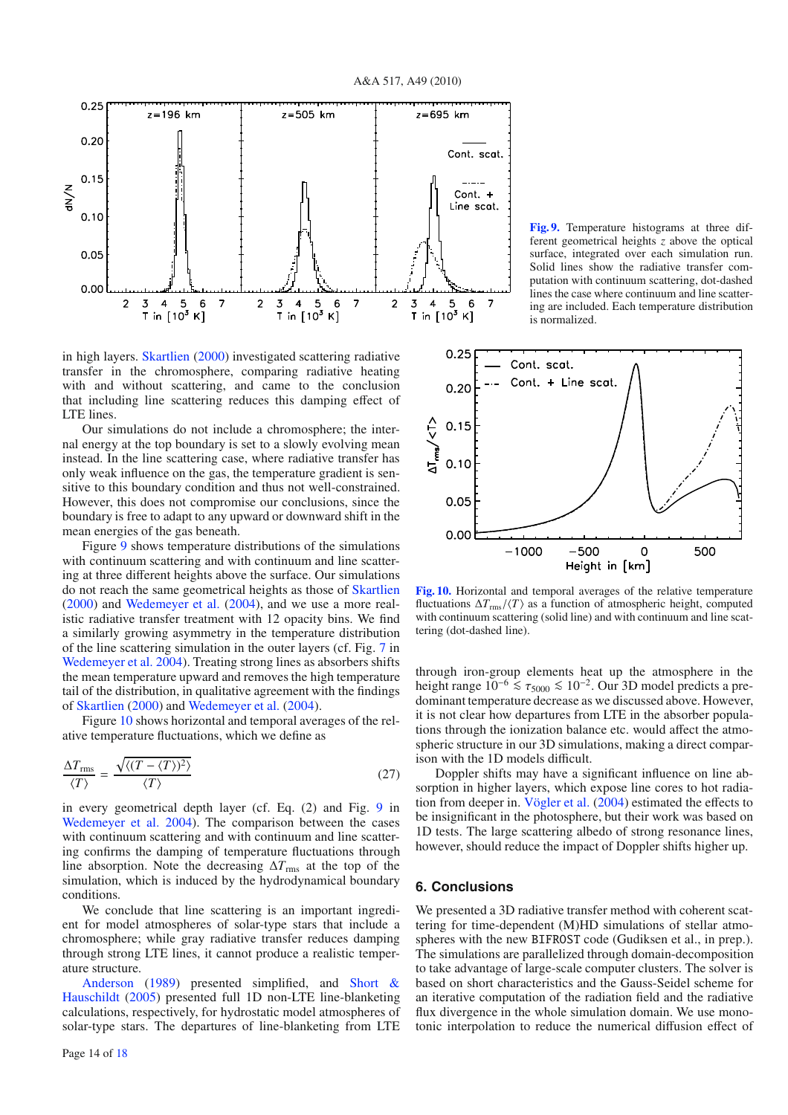

in high layers. [Skartlien](#page-17-7) [\(2000\)](#page-17-7) investigated scattering radiative transfer in the chromosphere, comparing radiative heating with and without scattering, and came to the conclusion that including line scattering reduces this damping effect of LTE lines.

Our simulations do not include a chromosphere; the internal energy at the top boundary is set to a slowly evolving mean instead. In the line scattering case, where radiative transfer has only weak influence on the gas, the temperature gradient is sensitive to this boundary condition and thus not well-constrained. However, this does not compromise our conclusions, since the boundary is free to adapt to any upward or downward shift in the mean energies of the gas beneath.

Figure [9](#page-13-0) shows temperature distributions of the simulations with continuum scattering and with continuum and line scattering at three different heights above the surface. Our simulations do not reach the same geometrical heights as those of [Skartlien](#page-17-7) [\(2000\)](#page-17-7) and [Wedemeyer et al.](#page-17-19) [\(2004](#page-17-19)), and we use a more realistic radiative transfer treatment with 12 opacity bins. We find a similarly growing asymmetry in the temperature distribution of the line scattering simulation in the outer layers (cf. Fig. [7](#page-11-1) in [Wedemeyer et al. 2004\)](#page-17-19). Treating strong lines as absorbers shifts the mean temperature upward and removes the high temperature tail of the distribution, in qualitative agreement with the findings of [Skartlien](#page-17-7) [\(2000\)](#page-17-7) and [Wedemeyer et al.](#page-17-19) [\(2004](#page-17-19)).

Figure [10](#page-13-1) shows horizontal and temporal averages of the relative temperature fluctuations, which we define as

$$
\frac{\Delta T_{\rm rms}}{\langle T \rangle} = \frac{\sqrt{\langle (T - \langle T \rangle)^2 \rangle}}{\langle T \rangle} \tag{27}
$$

in every geometrical depth layer (cf. Eq. (2) and Fig. [9](#page-13-0) in [Wedemeyer et al. 2004](#page-17-19)). The comparison between the cases with continuum scattering and with continuum and line scattering confirms the damping of temperature fluctuations through line absorption. Note the decreasing  $\Delta T_{\rm rms}$  at the top of the simulation, which is induced by the hydrodynamical boundary conditions.

We conclude that line scattering is an important ingredient for model atmospheres of solar-type stars that include a chromosphere; while gray radiative transfer reduces damping through strong LTE lines, it cannot produce a realistic temper[ature structure](#page-16-31).

Anderson [\(1989](#page-16-31)[\)](#page-17-18) [presented](#page-17-18) [simplified,](#page-17-18) [and](#page-17-18) Short & Hauschildt [\(2005\)](#page-17-18) presented full 1D non-LTE line-blanketing calculations, respectively, for hydrostatic model atmospheres of solar-type stars. The departures of line-blanketing from LTE

<span id="page-13-0"></span>**[Fig. 9.](http://dexter.edpsciences.org/applet.php?DOI=10.1051/0004-6361/201014210&pdf_id=9)** Temperature histograms at three different geometrical heights *z* above the optical surface, integrated over each simulation run. Solid lines show the radiative transfer computation with continuum scattering, dot-dashed lines the case where continuum and line scattering are included. Each temperature distribution is normalized.

<span id="page-13-1"></span>

**[Fig. 10.](http://dexter.edpsciences.org/applet.php?DOI=10.1051/0004-6361/201014210&pdf_id=10)** Horizontal and temporal averages of the relative temperature fluctuations  $\Delta T_{\rm rms}/\langle T \rangle$  as a function of atmospheric height, computed with continuum scattering (solid line) and with continuum and line scattering (dot-dashed line).

through iron-group elements heat up the atmosphere in the height range  $10^{-6}$  ≤  $\tau_{5000}$  ≤  $10^{-2}$ . Our 3D model predicts a predominant temperature decrease as we discussed above. However, it is not clear how departures from LTE in the absorber populations through the ionization balance etc. would affect the atmospheric structure in our 3D simulations, making a direct comparison with the 1D models difficult.

Doppler shifts may have a significant influence on line absorption in higher layers, which expose line cores to hot radiation from deeper in. [Vögler et al.](#page-17-9) [\(2004](#page-17-9)) estimated the effects to be insignificant in the photosphere, but their work was based on 1D tests. The large scattering albedo of strong resonance lines, however, should reduce the impact of Doppler shifts higher up.

## **6. Conclusions**

We presented a 3D radiative transfer method with coherent scattering for time-dependent (M)HD simulations of stellar atmospheres with the new BIFROST code (Gudiksen et al., in prep.). The simulations are parallelized through domain-decomposition to take advantage of large-scale computer clusters. The solver is based on short characteristics and the Gauss-Seidel scheme for an iterative computation of the radiation field and the radiative flux divergence in the whole simulation domain. We use monotonic interpolation to reduce the numerical diffusion effect of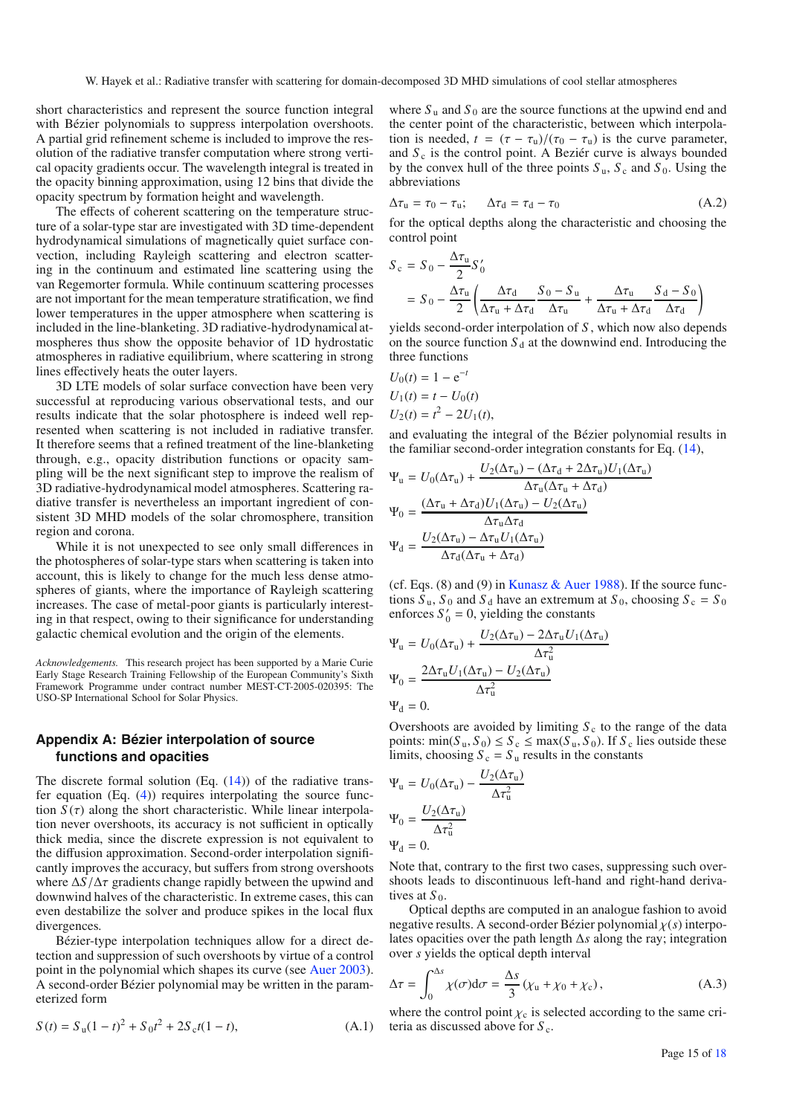W. Hayek et al.: Radiative transfer with scattering for domain-decomposed 3D MHD simulations of cool stellar atmospheres

short characteristics and represent the source function integral with Bézier polynomials to suppress interpolation overshoots. A partial grid refinement scheme is included to improve the resolution of the radiative transfer computation where strong vertical opacity gradients occur. The wavelength integral is treated in the opacity binning approximation, using 12 bins that divide the opacity spectrum by formation height and wavelength.

The effects of coherent scattering on the temperature structure of a solar-type star are investigated with 3D time-dependent hydrodynamical simulations of magnetically quiet surface convection, including Rayleigh scattering and electron scattering in the continuum and estimated line scattering using the van Regemorter formula. While continuum scattering processes are not important for the mean temperature stratification, we find lower temperatures in the upper atmosphere when scattering is included in the line-blanketing. 3D radiative-hydrodynamical atmospheres thus show the opposite behavior of 1D hydrostatic atmospheres in radiative equilibrium, where scattering in strong lines effectively heats the outer layers.

3D LTE models of solar surface convection have been very successful at reproducing various observational tests, and our results indicate that the solar photosphere is indeed well represented when scattering is not included in radiative transfer. It therefore seems that a refined treatment of the line-blanketing through, e.g., opacity distribution functions or opacity sampling will be the next significant step to improve the realism of 3D radiative-hydrodynamical model atmospheres. Scattering radiative transfer is nevertheless an important ingredient of consistent 3D MHD models of the solar chromosphere, transition region and corona.

While it is not unexpected to see only small differences in the photospheres of solar-type stars when scattering is taken into account, this is likely to change for the much less dense atmospheres of giants, where the importance of Rayleigh scattering increases. The case of metal-poor giants is particularly interesting in that respect, owing to their significance for understanding galactic chemical evolution and the origin of the elements.

*Acknowledgements.* This research project has been supported by a Marie Curie Early Stage Research Training Fellowship of the European Community's Sixth Framework Programme under contract number MEST-CT-2005-020395: The USO-SP International School for Solar Physics.

# <span id="page-14-0"></span>**Appendix A: Bézier interpolation of source functions and opacities**

The discrete formal solution (Eq.  $(14)$ ) of the radiative transfer equation  $(Eq. (4))$  $(Eq. (4))$  $(Eq. (4))$  requires interpolating the source function  $S(\tau)$  along the short characteristic. While linear interpolation never overshoots, its accuracy is not sufficient in optically thick media, since the discrete expression is not equivalent to the diffusion approximation. Second-order interpolation significantly improves the accuracy, but suffers from strong overshoots where  $\Delta S/\Delta \tau$  gradients change rapidly between the upwind and downwind halves of the characteristic. In extreme cases, this can even destabilize the solver and produce spikes in the local flux divergences.

Bézier-type interpolation techniques allow for a direct detection and suppression of such overshoots by virtue of a control point in the polynomial which shapes its curve (see [Auer 2003](#page-16-19)). A second-order Bézier polynomial may be written in the parameterized form

$$
S(t) = Su(1 - t)2 + S0t2 + 2Sct(1 - t),
$$
 (A.1)

where  $S_u$  and  $S_0$  are the source functions at the upwind end and the center point of the characteristic, between which interpolation is needed,  $t = (\tau - \tau_u)/(\tau_0 - \tau_u)$  is the curve parameter, and  $S_c$  is the control point. A Beziér curve is always bounded by the convex hull of the three points  $S_u$ ,  $S_c$  and  $S_0$ . Using the abbreviations

$$
\Delta \tau_{\rm u} = \tau_0 - \tau_{\rm u}; \qquad \Delta \tau_{\rm d} = \tau_{\rm d} - \tau_0 \tag{A.2}
$$

for the optical depths along the characteristic and choosing the control point

$$
S_c = S_0 - \frac{\Delta \tau_u}{2} S'_0
$$
  
=  $S_0 - \frac{\Delta \tau_u}{2} \left( \frac{\Delta \tau_d}{\Delta \tau_u + \Delta \tau_d} \frac{S_0 - S_u}{\Delta \tau_u} + \frac{\Delta \tau_u}{\Delta \tau_u + \Delta \tau_d} \frac{S_d - S_0}{\Delta \tau_d} \right)$ 

yields second-order interpolation of *S* , which now also depends on the source function  $S_d$  at the downwind end. Introducing the three functions

$$
U_0(t) = 1 - e^{-t}
$$
  
\n
$$
U_1(t) = t - U_0(t)
$$
  
\n
$$
U_2(t) = t^2 - 2U_1(t)
$$

and evaluating the integral of the Bézier polynomial results in the familiar second-order integration constants for Eq. [\(14\)](#page-3-3),

$$
\Psi_{u} = U_{0}(\Delta \tau_{u}) + \frac{U_{2}(\Delta \tau_{u}) - (\Delta \tau_{d} + 2\Delta \tau_{u})U_{1}(\Delta \tau_{u})}{\Delta \tau_{u}(\Delta \tau_{u} + \Delta \tau_{d})}
$$
\n
$$
\Psi_{0} = \frac{(\Delta \tau_{u} + \Delta \tau_{d})U_{1}(\Delta \tau_{u}) - U_{2}(\Delta \tau_{u})}{\Delta \tau_{u} \Delta \tau_{d}}
$$
\n
$$
\Psi_{d} = \frac{U_{2}(\Delta \tau_{u}) - \Delta \tau_{u}U_{1}(\Delta \tau_{u})}{\Delta \tau_{d}(\Delta \tau_{u} + \Delta \tau_{d})}
$$

(cf. Eqs.  $(8)$  and  $(9)$  in [Kunasz & Auer 1988](#page-16-18)). If the source functions  $S_u$ ,  $S_0$  and  $S_d$  have an extremum at  $S_0$ , choosing  $S_c = S_0$ enforces  $S'_0 = 0$ , yielding the constants

$$
\Psi_{\rm u} = U_0(\Delta \tau_{\rm u}) + \frac{U_2(\Delta \tau_{\rm u}) - 2\Delta \tau_{\rm u} U_1(\Delta \tau_{\rm u})}{\Delta \tau_{\rm u}^2}
$$

$$
\Psi_0 = \frac{2\Delta \tau_{\rm u} U_1(\Delta \tau_{\rm u}) - U_2(\Delta \tau_{\rm u})}{\Delta \tau_{\rm u}^2}
$$

$$
\Psi_{\rm d} = 0.
$$

Overshoots are avoided by limiting  $S_c$  to the range of the data points:  $\min(S_u, S_0) \leq S_c \leq \max(S_u, S_0)$ . If  $S_c$  lies outside these limits, choosing  $S_c = S_u$  results in the constants

$$
\Psi_{u} = U_0(\Delta \tau_u) - \frac{U_2(\Delta \tau_u)}{\Delta \tau_u^2}
$$

$$
\Psi_0 = \frac{U_2(\Delta \tau_u)}{\Delta \tau_u^2}
$$

$$
\Psi_d = 0.
$$

Note that, contrary to the first two cases, suppressing such overshoots leads to discontinuous left-hand and right-hand derivatives at  $S_0$ .

Optical depths are computed in an analogue fashion to avoid negative results. A second-order Bézier polynomial χ(*s*) interpolates opacities over the path length Δ*s* along the ray; integration over *s* yields the optical depth interval

$$
\Delta \tau = \int_0^{\Delta s} \chi(\sigma) d\sigma = \frac{\Delta s}{3} (\chi_u + \chi_0 + \chi_c), \tag{A.3}
$$

where the control point  $\chi_c$  is selected according to the same criteria as discussed above for  $S_c$ .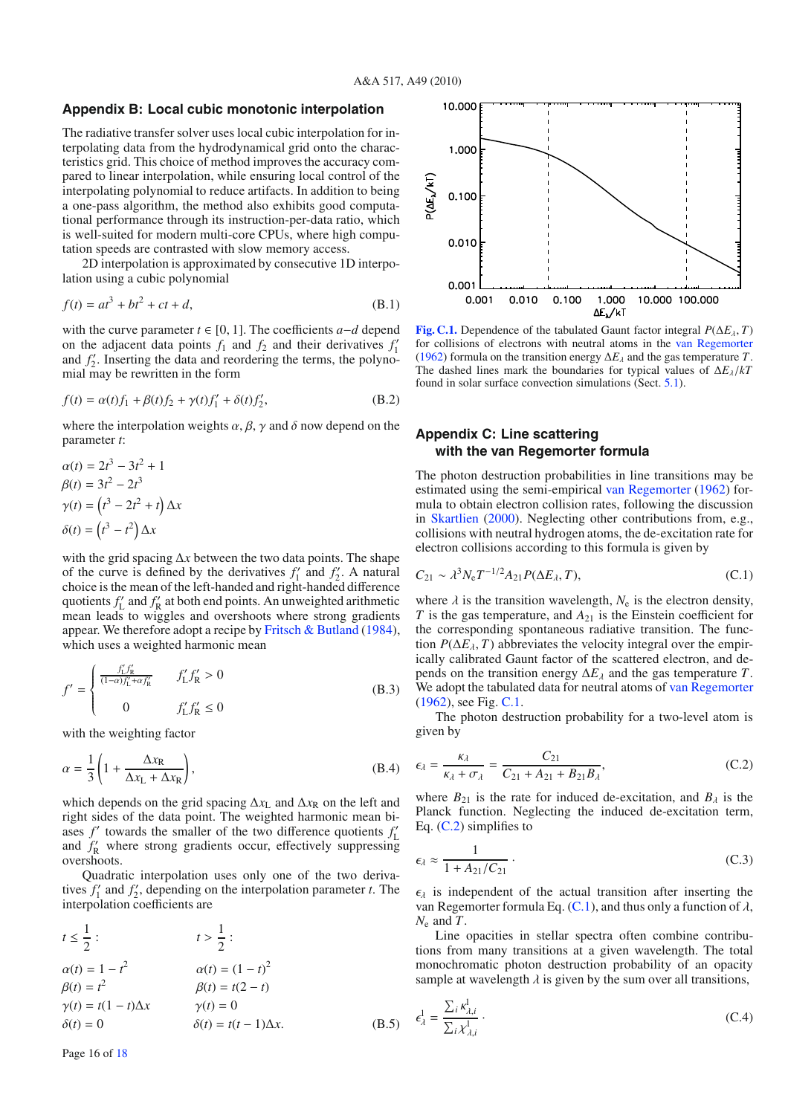# <span id="page-15-0"></span>**Appendix B: Local cubic monotonic interpolation**

The radiative transfer solver uses local cubic interpolation for interpolating data from the hydrodynamical grid onto the characteristics grid. This choice of method improves the accuracy compared to linear interpolation, while ensuring local control of the interpolating polynomial to reduce artifacts. In addition to being a one-pass algorithm, the method also exhibits good computational performance through its instruction-per-data ratio, which is well-suited for modern multi-core CPUs, where high computation speeds are contrasted with slow memory access.

2D interpolation is approximated by consecutive 1D interpolation using a cubic polynomial

$$
f(t) = at^3 + bt^2 + ct + d,
$$
 (B.1)

with the curve parameter *t* ∈ [0, 1]. The coefficients *a*−*d* depend on the adjacent data points  $f_1$  and  $f_2$  and their derivatives  $f_1$ and  $f_2'$ . Inserting the data and reordering the terms, the polynomial may be rewritten in the form

$$
f(t) = \alpha(t)f_1 + \beta(t)f_2 + \gamma(t)f_1' + \delta(t)f_2',
$$
 (B.2)

where the interpolation weights  $\alpha$ ,  $\beta$ ,  $\gamma$  and  $\delta$  now depend on the parameter *t*:

$$
\alpha(t) = 2t^3 - 3t^2 + 1
$$
  
\n
$$
\beta(t) = 3t^2 - 2t^3
$$
  
\n
$$
\gamma(t) = (t^3 - 2t^2 + t) \Delta x
$$
  
\n
$$
\delta(t) = (t^3 - t^2) \Delta x
$$

with the grid spacing  $\Delta x$  between the two data points. The shape of the curve is defined by the derivatives  $f'_1$  and  $f'_2$ . A natural choice is the mean of the left-handed and right-handed difference quotients  $f'_{\rm L}$  and  $f'_{\rm R}$  at both end points. An unweighted arithmetic mean leads to wiggles and overshoots where strong gradients appear. We therefore adopt a recipe by [Fritsch & Butland](#page-16-24) [\(1984](#page-16-24)), which uses a weighted harmonic mean

$$
f' = \begin{cases} \frac{f'_L f'_R}{(1-\alpha)f'_L + \alpha f'_R} & f'_L f'_R > 0\\ 0 & f'_L f'_R \le 0 \end{cases}
$$
 (B.3)

with the weighting factor

$$
\alpha = \frac{1}{3} \left( 1 + \frac{\Delta x_{\rm R}}{\Delta x_{\rm L} + \Delta x_{\rm R}} \right),\tag{B.4}
$$

which depends on the grid spacing  $\Delta x_L$  and  $\Delta x_R$  on the left and right sides of the data point. The weighted harmonic mean biases  $f'$  towards the smaller of the two difference quotients  $f'_{\text{L}}$  and  $f'_{\text{R}}$  where strong gradients occur, effectively suppressing overshoots.

Quadratic interpolation uses only one of the two derivatives  $f'_1$  and  $f'_2$ , depending on the interpolation parameter *t*. The interpolation coefficients are

$$
t \le \frac{1}{2}:
$$
  
\n
$$
\alpha(t) = 1 - t^2
$$
  
\n
$$
\beta(t) = t^2
$$
  
\n
$$
\gamma(t) = t(1 - t)\Delta x
$$
  
\n
$$
\gamma(t) = 0
$$
  
\n
$$
\gamma(t) = 0
$$
  
\n
$$
\gamma(t) = 0
$$
  
\n
$$
\gamma(t) = 0
$$
  
\n
$$
\gamma(t) = 0
$$
  
\n
$$
\gamma(t) = 0
$$
  
\n
$$
\gamma(t) = 0
$$
  
\n
$$
\gamma(t) = 0
$$
  
\n(8.5)

<span id="page-15-2"></span>

<span id="page-15-4"></span>**[Fig. C.1.](http://dexter.edpsciences.org/applet.php?DOI=10.1051/0004-6361/201014210&pdf_id=11)** Dependence of the tabulated Gaunt factor integral  $P(\Delta E_\lambda, T)$ for collisions of electrons with neutral atoms in the [van Regemorter](#page-17-17) [\(1962\)](#page-17-17) formula on the transition energy  $\Delta E_\lambda$  and the gas temperature *T*. The dashed lines mark the boundaries for typical values of  $\Delta E_{\lambda}/kT$ found in solar surface convection simulations (Sect. [5.1\)](#page-9-1).

# <span id="page-15-1"></span>**Appendix C: Line scattering with the van Regemorter formula**

The photon destruction probabilities in line transitions may be estimated using the semi-empirical [van Regemorter](#page-17-17) [\(1962\)](#page-17-17) formula to obtain electron collision rates, following the discussion in [Skartlien](#page-17-7) [\(2000\)](#page-17-7). Neglecting other contributions from, e.g., collisions with neutral hydrogen atoms, the de-excitation rate for electron collisions according to this formula is given by

<span id="page-15-3"></span>
$$
C_{21} \sim \lambda^3 N_e T^{-1/2} A_{21} P(\Delta E_{\lambda}, T), \tag{C.1}
$$

where  $\lambda$  is the transition wavelength,  $N_e$  is the electron density, *T* is the gas temperature, and  $A_{21}$  is the Einstein coefficient for the corresponding spontaneous radiative transition. The function  $P(\Delta E_{\lambda}, T)$  abbreviates the velocity integral over the empirically calibrated Gaunt factor of the scattered electron, and depends on the transition energy  $\Delta E_{\lambda}$  and the gas temperature *T*. We adopt the tabulated data for neutral atoms of [van Regemorter](#page-17-17) [\(1962](#page-17-17)), see Fig. [C.1.](#page-15-2)

<span id="page-15-5"></span>The photon destruction probability for a two-level atom is given by

$$
\epsilon_{\lambda} = \frac{\kappa_{\lambda}}{\kappa_{\lambda} + \sigma_{\lambda}} = \frac{C_{21}}{C_{21} + A_{21} + B_{21}B_{\lambda}},
$$
 (C.2)

where  $B_{21}$  is the rate for induced de-excitation, and  $B_{\lambda}$  is the Planck function. Neglecting the induced de-excitation term, Eq. [\(C.2\)](#page-15-3) simplifies to

$$
\epsilon_{\lambda} \approx \frac{1}{1 + A_{21}/C_{21}} \,. \tag{C.3}
$$

 $\epsilon_{\lambda}$  is independent of the actual transition after inserting the van Regemorter formula Eq. [\(C.1\)](#page-15-4), and thus only a function of  $\lambda$ , *N*<sup>e</sup> and *T*.

Line opacities in stellar spectra often combine contributions from many transitions at a given wavelength. The total monochromatic photon destruction probability of an opacity sample at wavelength  $\lambda$  is given by the sum over all transitions,

$$
\epsilon_{\lambda}^{1} = \frac{\sum_{i} \kappa_{\lambda, i}^{1}}{\sum_{i} \chi_{\lambda, i}^{1}} \tag{C.4}
$$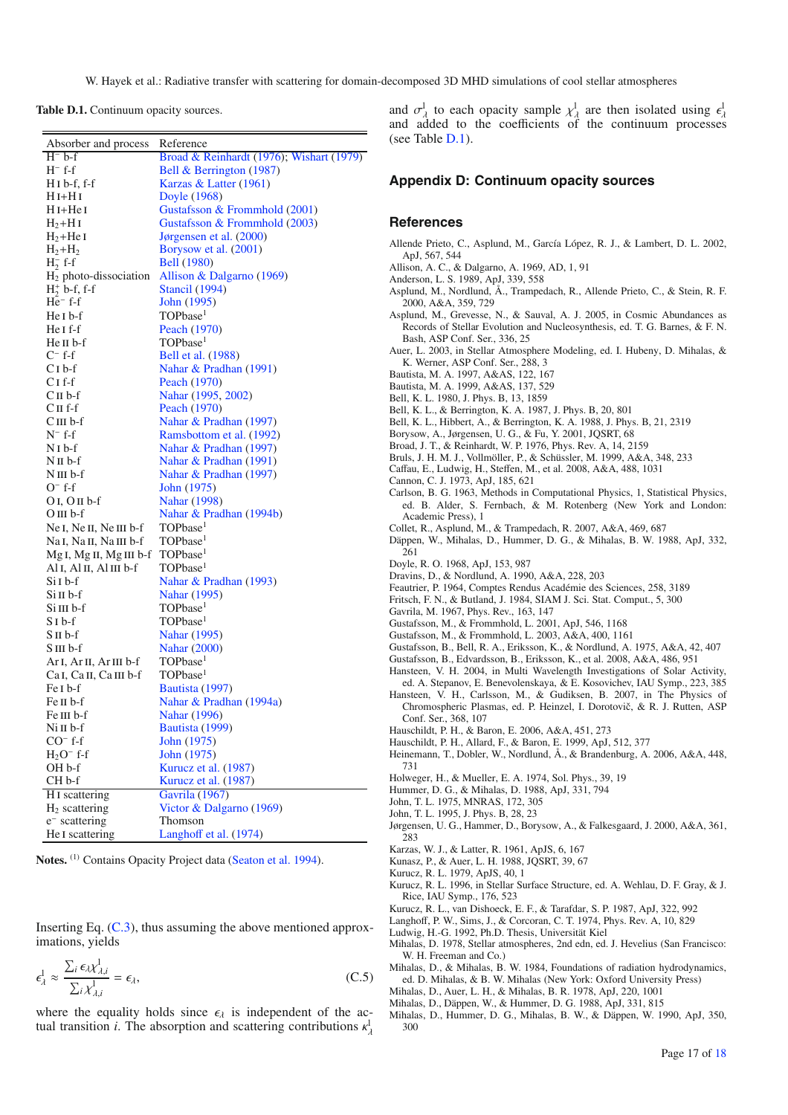<span id="page-16-30"></span>W. Hayek et al.: Radiative transfer with scattering for domain-decomposed 3D MHD simulations of cool stellar atmospheres

**Table D.1.** Continuum opacity sources.

| Absorber and process                                       | Reference                                          |
|------------------------------------------------------------|----------------------------------------------------|
| $H^- b-f$                                                  | Broad & Reinhardt (1976); Wishart (1979)           |
| $H^-$ f-f                                                  |                                                    |
| $H I b-f, f-f$                                             | Bell & Berrington (1987)<br>Karzas & Latter (1961) |
| $H I + H I$                                                |                                                    |
| $H I + He I$                                               | Doyle (1968)<br>Gustafsson & Frommhold (2001)      |
| $H_2+HI$                                                   | Gustafsson & Frommhold (2003)                      |
|                                                            |                                                    |
| $H_2+HeI$                                                  | Jørgensen et al. (2000)                            |
| $H_2+H_2$                                                  | Borysow et al. (2001)                              |
| $H_2^-$ f-f                                                | <b>Bell</b> (1980)                                 |
| $H_2$ photo-dissociation                                   | Allison & Dalgarno (1969)                          |
| $H_2^+$ b-f, f-f                                           | <b>Stancil</b> (1994)                              |
| $He^-$ f-f                                                 | John (1995)                                        |
| He I b-f                                                   | TOPbase <sup>1</sup>                               |
| He I f-f                                                   | Peach (1970)                                       |
| He II b-f                                                  | TOPbase <sup>1</sup>                               |
| $C^-$ f-f                                                  | Bell et al. (1988)                                 |
| $C1 b-f$                                                   | Nahar & Pradhan (1991)                             |
| C1 f-f                                                     | Peach (1970)                                       |
| $CII$ b-f                                                  | Nahar (1995, 2002)                                 |
| $CII$ f-f                                                  | Peach (1970)                                       |
| CIII b-f                                                   | Nahar & Pradhan (1997)                             |
| $N^-$ f-f                                                  | Ramsbottom et al. (1992)                           |
| $NI b-f$                                                   | Nahar & Pradhan (1997)                             |
| $N$ II b-f                                                 | Nahar & Pradhan (1991)                             |
| $N$ III $b$ -f                                             | Nahar & Pradhan (1997)                             |
| $O^-$ f-f                                                  | John (1975)                                        |
| $OI, OII b-f$                                              | Nahar (1998)                                       |
| OIII b-f                                                   | Nahar & Pradhan (1994b)                            |
| Ne I, Ne II, Ne III b-f                                    | TOPbase <sup>1</sup>                               |
| Na <sub>I</sub> , Na <sub>II</sub> , Na <sub>III</sub> b-f | TOPbase <sup>1</sup>                               |
| Mg I, Mg II, Mg III b-f                                    | TOPbase <sup>1</sup>                               |
| Al I, Al II, Al III b-f                                    | TOPbase <sup>1</sup>                               |
| Si I b-f                                                   | Nahar & Pradhan (1993)                             |
| Si II b-f                                                  | Nahar (1995)                                       |
| Si III b-f                                                 | TOPbase <sup>1</sup>                               |
| SI b-f                                                     | TOPbase <sup>1</sup>                               |
| S II b-f                                                   | Nahar (1995)                                       |
| S III b-f                                                  | <b>Nahar</b> (2000)                                |
| Ar I, Ar II, Ar III b-f                                    | TOPbase <sup>1</sup>                               |
| Ca <sub>I</sub> , Ca <sub>II</sub> , Ca <sub>III</sub> b-f | TOPbase <sup>1</sup>                               |
| Fe <sub>I</sub> b-f                                        | Bautista (1997)                                    |
| Fe II b-f                                                  | Nahar & Pradhan (1994a)                            |
| Fe III b-f                                                 | Nahar (1996)                                       |
| Ni∏b-f                                                     | Bautista (1999)                                    |
| $CO^-$ f-f                                                 | John (1975)                                        |
| $H2O-$ f-f                                                 | John (1975)                                        |
| OH b-f                                                     | Kurucz et al. (1987)                               |
| CH <sub>b-f</sub>                                          | Kurucz et al. (1987)                               |
| H <sub>I</sub> scattering                                  | <b>Gavrila</b> (1967)                              |
| $H2$ scattering                                            | Victor & Dalgarno (1969)                           |
| e <sup>-</sup> scattering                                  | Thomson                                            |
| He I scattering                                            | Langhoff et al. (1974)                             |
|                                                            |                                                    |

**Notes.** (1) Contains Opacity Project data [\(Seaton et al. 1994](#page-17-35)).

Inserting Eq.  $(C.3)$ , thus assuming the above mentioned approximations, yields

$$
\epsilon_{\lambda}^1 \approx \frac{\sum_i \epsilon_{\lambda} \chi_{\lambda,i}^1}{\sum_i \chi_{\lambda,i}^1} = \epsilon_{\lambda},\tag{C.5}
$$

where the equality holds since  $\epsilon_{\lambda}$  is independent of the actual transition *i*. The absorption and scattering contributions  $\kappa_{\lambda}^{1}$  and  $\sigma^1_\lambda$  to each opacity sample  $\chi^1_\lambda$  are then isolated using  $\epsilon^1_\lambda$  and added to the coefficients of the continuum processes (see Table [D.1\)](#page-16-30).

## **Appendix D: Continuum opacity sources**

## **References**

- Allende Prieto, C., Asplund, M., García López, R. J., & Lambert, D. L. 2002, ApJ, 567, 544
- Allison, A. C., & Dalgarno, A. 1969, AD, 1, 91
- <span id="page-16-42"></span><span id="page-16-31"></span><span id="page-16-7"></span><span id="page-16-6"></span>Anderson, L. S. 1989, ApJ, 339, 558
- Asplund, M., Nordlund, Å., Trampedach, R., Allende Prieto, C., & Stein, R. F. 2000, A&A, 359, 729
- <span id="page-16-29"></span>Asplund, M., Grevesse, N., & Sauval, A. J. 2005, in Cosmic Abundances as Records of Stellar Evolution and Nucleosynthesis, ed. T. G. Barnes, & F. N. Bash, ASP Conf. Ser., 336, 25
- <span id="page-16-19"></span>Auer, L. 2003, in Stellar Atmosphere Modeling, ed. I. Hubeny, D. Mihalas, & K. Werner, ASP Conf. Ser., 288, 3
- <span id="page-16-46"></span>Bautista, M. A. 1997, A&AS, 122, 167
- Bautista, M. A. 1999, A&AS, 137, 529
- <span id="page-16-47"></span>Bell, K. L. 1980, J. Phys. B, 13, 1859
- <span id="page-16-44"></span><span id="page-16-41"></span><span id="page-16-40"></span><span id="page-16-34"></span>Bell, K. L., & Berrington, K. A. 1987, J. Phys. B, 20, 801
- Bell, K. L., Hibbert, A., & Berrington, K. A. 1988, J. Phys. B, 21, 2319
- Borysow, A., Jørgensen, U. G., & Fu, Y. 2001, JQSRT, 68
- <span id="page-16-33"></span><span id="page-16-16"></span>Broad, J. T., & Reinhardt, W. P. 1976, Phys. Rev. A, 14, 2159
- Bruls, J. H. M. J., Vollmöller, P., & Schüssler, M. 1999, A&A, 348, 233
- Caffau, E., Ludwig, H., Steffen, M., et al. 2008, A&A, 488, 1031
- <span id="page-16-21"></span><span id="page-16-20"></span><span id="page-16-14"></span>Cannon, C. J. 1973, ApJ, 185, 621
- Carlson, B. G. 1963, Methods in Computational Physics, 1, Statistical Physics, ed. B. Alder, S. Fernbach, & M. Rotenberg (New York and London: Academic Press), 1
- <span id="page-16-12"></span>Collet, R., Asplund, M., & Trampedach, R. 2007, A&A, 469, 687
- <span id="page-16-27"></span>Däppen, W., Mihalas, D., Hummer, D. G., & Mihalas, B. W. 1988, ApJ, 332, 261
- <span id="page-16-36"></span>Doyle, R. O. 1968, ApJ, 153, 987
- <span id="page-16-5"></span>Dravins, D., & Nordlund, A. 1990, A&A, 228, 203
- <span id="page-16-15"></span>Feautrier, P. 1964, Comptes Rendus Académie des Sciences, 258, 3189
- Fritsch, F. N., & Butland, J. 1984, SIAM J. Sci. Stat. Comput., 5, 300
- <span id="page-16-49"></span><span id="page-16-37"></span><span id="page-16-24"></span>Gavrila, M. 1967, Phys. Rev., 163, 147
- Gustafsson, M., & Frommhold, L. 2001, ApJ, 546, 1168
- <span id="page-16-38"></span>Gustafsson, M., & Frommhold, L. 2003, A&A, 400, 1161
- <span id="page-16-0"></span>Gustafsson, B., Bell, R. A., Eriksson, K., & Nordlund, A. 1975, A&A, 42, 407
- <span id="page-16-3"></span>Gustafsson, B., Edvardsson, B., Eriksson, K., et al. 2008, A&A, 486, 951
- <span id="page-16-10"></span>Hansteen, V. H. 2004, in Multi Wavelength Investigations of Solar Activity, ed. A. Stepanov, E. Benevolenskaya, & E. Kosovichev, IAU Symp., 223, 385
- <span id="page-16-11"></span>Hansteen, V. H., Carlsson, M., & Gudiksen, B. 2007, in The Physics of Chromospheric Plasmas, ed. P. Heinzel, I. Dorotovič, & R. J. Rutten, ASP Conf. Ser., 368, 107
- <span id="page-16-23"></span>Hauschildt, P. H., & Baron, E. 2006, A&A, 451, 273
- Hauschildt, P. H., Allard, F., & Baron, E. 1999, ApJ, 512, 377
- <span id="page-16-22"></span><span id="page-16-4"></span>Heinemann, T., Dobler, W., Nordlund, Å., & Brandenburg, A. 2006, A&A, 448, 731
- <span id="page-16-25"></span><span id="page-16-8"></span>Holweger, H., & Mueller, E. A. 1974, Sol. Phys., 39, 19
- Hummer, D. G., & Mihalas, D. 1988, ApJ, 331, 794
- John, T. L. 1975, MNRAS, 172, 305
- <span id="page-16-45"></span>John, T. L. 1995, J. Phys. B, 28, 23
- <span id="page-16-43"></span><span id="page-16-39"></span>Jørgensen, U. G., Hammer, D., Borysow, A., & Falkesgaard, J. 2000, A&A, 361, 283
- <span id="page-16-35"></span>Karzas, W. J., & Latter, R. 1961, ApJS, 6, 167
- Kunasz, P., & Auer, L. H. 1988, JQSRT, 39, 67
- <span id="page-16-18"></span>Kurucz, R. L. 1979, ApJS, 40, 1
- <span id="page-16-2"></span><span id="page-16-1"></span>Kurucz, R. L. 1996, in Stellar Surface Structure, ed. A. Wehlau, D. F. Gray, & J. Rice, IAU Symp., 176, 523
- <span id="page-16-48"></span>Kurucz, R. L., van Dishoeck, E. F., & Tarafdar, S. P. 1987, ApJ, 322, 992
- Langhoff, P. W., Sims, J., & Corcoran, C. T. 1974, Phys. Rev. A, 10, 829
- <span id="page-16-50"></span>Ludwig, H.-G. 1992, Ph.D. Thesis, Universität Kiel
- <span id="page-16-13"></span><span id="page-16-9"></span>Mihalas, D. 1978, Stellar atmospheres, 2nd edn, ed. J. Hevelius (San Francisco: W. H. Freeman and Co.)
- <span id="page-16-32"></span>Mihalas, D., & Mihalas, B. W. 1984, Foundations of radiation hydrodynamics, ed. D. Mihalas, & B. W. Mihalas (New York: Oxford University Press)
- <span id="page-16-17"></span>Mihalas, D., Auer, L. H., & Mihalas, B. R. 1978, ApJ, 220, 1001
- Mihalas, D., Däppen, W., & Hummer, D. G. 1988, ApJ, 331, 815
- <span id="page-16-28"></span><span id="page-16-26"></span>Mihalas, D., Hummer, D. G., Mihalas, B. W., & Däppen, W. 1990, ApJ, 350, 300